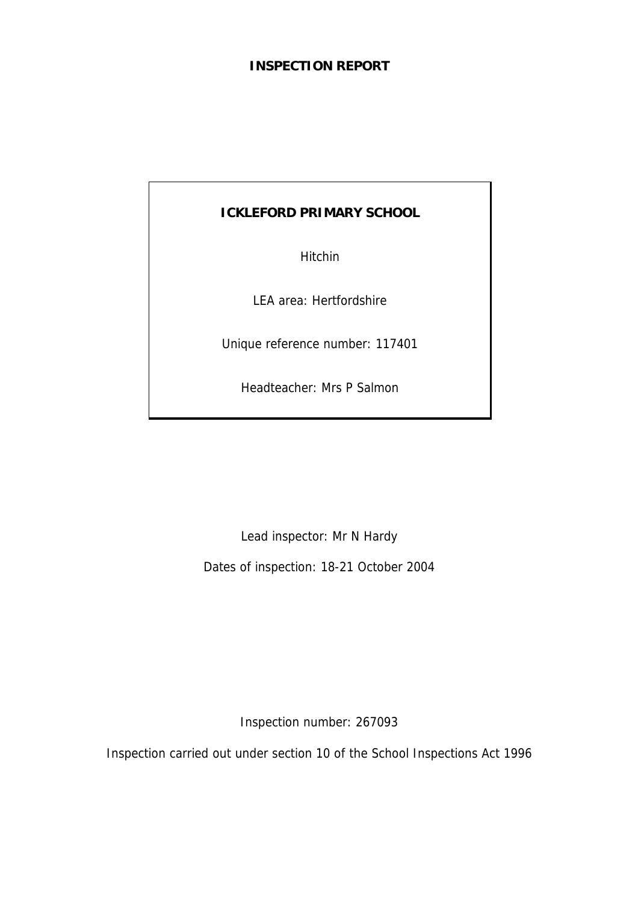# **INSPECTION REPORT**

# **ICKLEFORD PRIMARY SCHOOL**

Hitchin

LEA area: Hertfordshire

Unique reference number: 117401

Headteacher: Mrs P Salmon

Lead inspector: Mr N Hardy

Dates of inspection: 18-21 October 2004

Inspection number: 267093

Inspection carried out under section 10 of the School Inspections Act 1996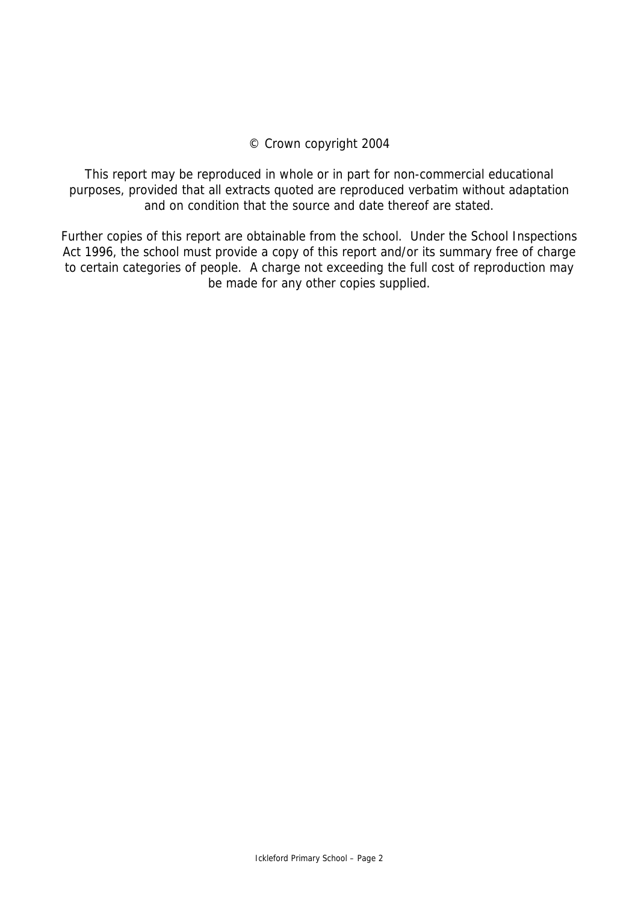## © Crown copyright 2004

This report may be reproduced in whole or in part for non-commercial educational purposes, provided that all extracts quoted are reproduced verbatim without adaptation and on condition that the source and date thereof are stated.

Further copies of this report are obtainable from the school. Under the School Inspections Act 1996, the school must provide a copy of this report and/or its summary free of charge to certain categories of people. A charge not exceeding the full cost of reproduction may be made for any other copies supplied.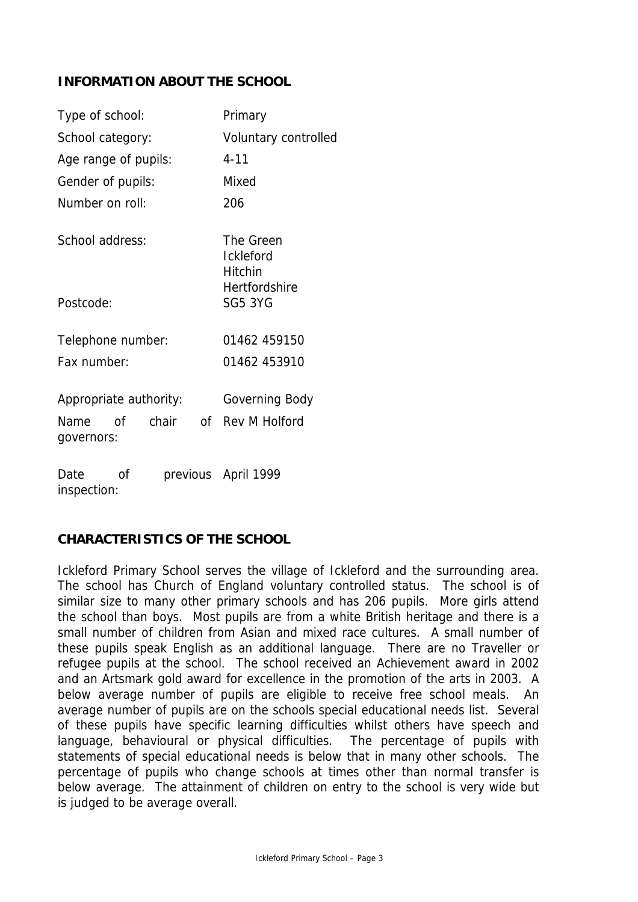# **INFORMATION ABOUT THE SCHOOL**

| Type of school:                           | Primary                                  |  |  |
|-------------------------------------------|------------------------------------------|--|--|
| School category:                          | Voluntary controlled                     |  |  |
| Age range of pupils:                      | $4 - 11$                                 |  |  |
| Gender of pupils:                         | Mixed                                    |  |  |
| Number on roll:                           | 206                                      |  |  |
| School address:                           | The Green<br><b>Ickleford</b><br>Hitchin |  |  |
| Postcode:                                 | <b>Hertfordshire</b><br><b>SG5 3YG</b>   |  |  |
| Telephone number:                         | 01462 459150                             |  |  |
| Fax number:                               | 01462 453910                             |  |  |
| Appropriate authority:                    | Governing Body                           |  |  |
| chair<br>0f<br>Name<br>— of<br>governors: | Rev M Holford                            |  |  |
| Date<br>οf<br>inspection:                 | previous April 1999                      |  |  |

# **CHARACTERISTICS OF THE SCHOOL**

Ickleford Primary School serves the village of Ickleford and the surrounding area. The school has Church of England voluntary controlled status. The school is of similar size to many other primary schools and has 206 pupils. More girls attend the school than boys. Most pupils are from a white British heritage and there is a small number of children from Asian and mixed race cultures. A small number of these pupils speak English as an additional language. There are no Traveller or refugee pupils at the school. The school received an Achievement award in 2002 and an Artsmark gold award for excellence in the promotion of the arts in 2003. A below average number of pupils are eligible to receive free school meals. An average number of pupils are on the schools special educational needs list. Several of these pupils have specific learning difficulties whilst others have speech and language, behavioural or physical difficulties. The percentage of pupils with statements of special educational needs is below that in many other schools. The percentage of pupils who change schools at times other than normal transfer is below average. The attainment of children on entry to the school is very wide but is judged to be average overall.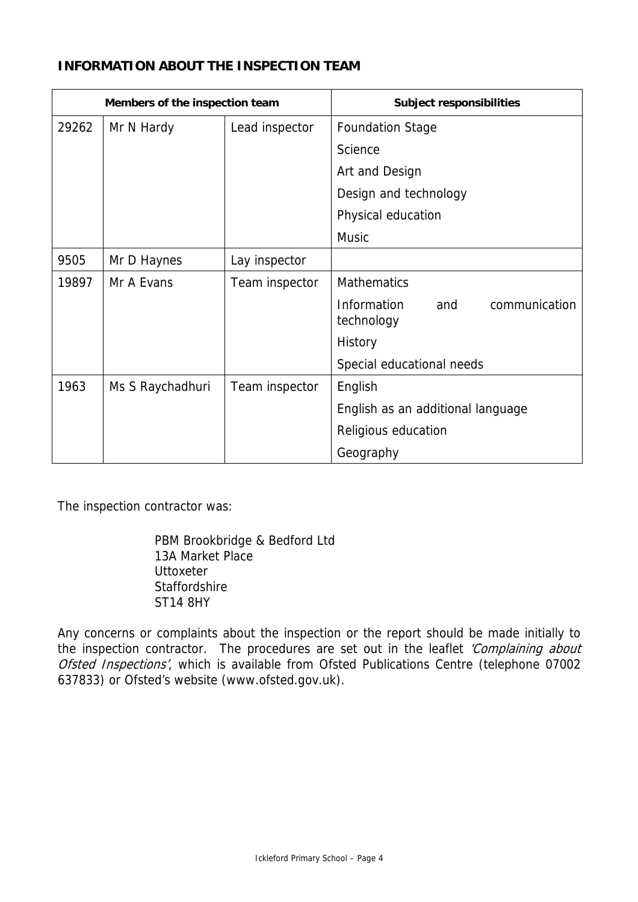# **INFORMATION ABOUT THE INSPECTION TEAM**

| Members of the inspection team |                  |                | <b>Subject responsibilities</b>                   |  |
|--------------------------------|------------------|----------------|---------------------------------------------------|--|
| 29262                          | Mr N Hardy       | Lead inspector | <b>Foundation Stage</b>                           |  |
|                                |                  |                | Science                                           |  |
|                                |                  |                | Art and Design                                    |  |
|                                |                  |                | Design and technology                             |  |
|                                |                  |                | Physical education                                |  |
|                                |                  |                | <b>Music</b>                                      |  |
| 9505                           | Mr D Haynes      | Lay inspector  |                                                   |  |
| 19897                          | Mr A Evans       | Team inspector | <b>Mathematics</b>                                |  |
|                                |                  |                | communication<br>Information<br>and<br>technology |  |
|                                |                  |                | History                                           |  |
|                                |                  |                | Special educational needs                         |  |
| 1963                           | Ms S Raychadhuri | Team inspector | English                                           |  |
|                                |                  |                | English as an additional language                 |  |
|                                |                  |                | Religious education                               |  |
|                                |                  |                | Geography                                         |  |

The inspection contractor was:

 PBM Brookbridge & Bedford Ltd 13A Market Place **Uttoxeter**  Staffordshire ST14 8HY

Any concerns or complaints about the inspection or the report should be made initially to the inspection contractor. The procedures are set out in the leaflet 'Complaining about Ofsted Inspections', which is available from Ofsted Publications Centre (telephone 07002 637833) or Ofsted's website (www.ofsted.gov.uk).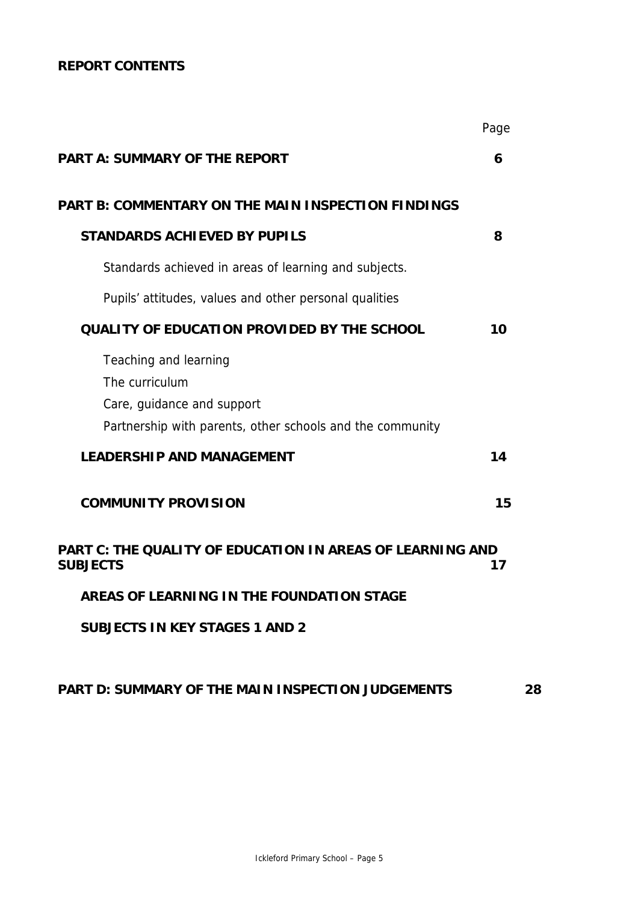# **REPORT CONTENTS**

|                                                                                                                                                                        | Page |
|------------------------------------------------------------------------------------------------------------------------------------------------------------------------|------|
| <b>PART A: SUMMARY OF THE REPORT</b>                                                                                                                                   | 6    |
| <b>PART B: COMMENTARY ON THE MAIN INSPECTION FINDINGS</b>                                                                                                              |      |
| <b>STANDARDS ACHIEVED BY PUPILS</b>                                                                                                                                    | 8    |
| Standards achieved in areas of learning and subjects.                                                                                                                  |      |
| Pupils' attitudes, values and other personal qualities                                                                                                                 |      |
| <b>QUALITY OF EDUCATION PROVIDED BY THE SCHOOL</b>                                                                                                                     | 10   |
| Teaching and learning<br>The curriculum<br>Care, guidance and support<br>Partnership with parents, other schools and the community<br><b>LEADERSHIP AND MANAGEMENT</b> | 14   |
| <b>COMMUNITY PROVISION</b>                                                                                                                                             | 15   |
| PART C: THE QUALITY OF EDUCATION IN AREAS OF LEARNING AND<br><b>SUBJECTS</b>                                                                                           | 17   |
| AREAS OF LEARNING IN THE FOUNDATION STAGE                                                                                                                              |      |
| <b>SUBJECTS IN KEY STAGES 1 AND 2</b>                                                                                                                                  |      |
|                                                                                                                                                                        |      |

# **PART D: SUMMARY OF THE MAIN INSPECTION JUDGEMENTS 28**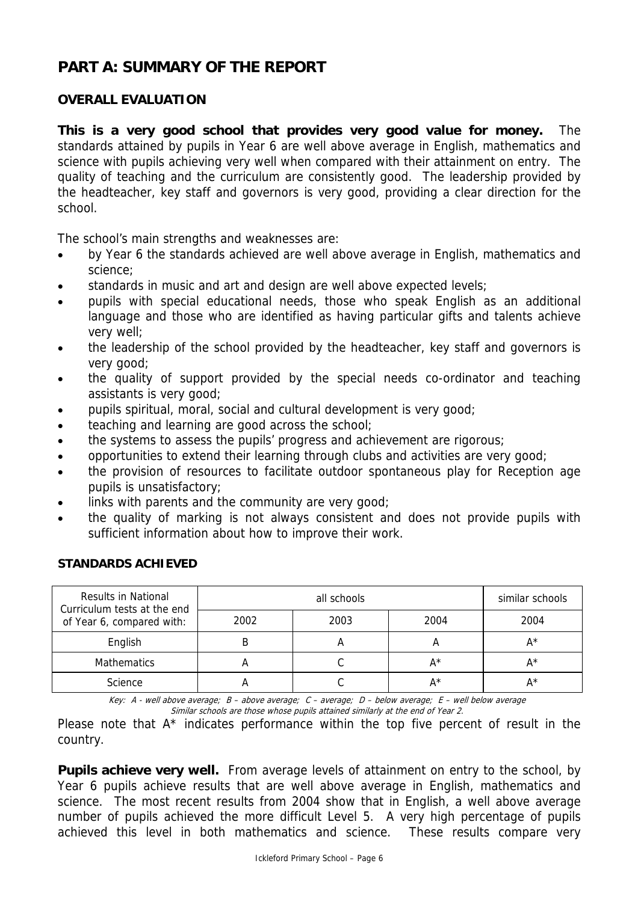# **PART A: SUMMARY OF THE REPORT**

# **OVERALL EVALUATION**

**This is a very good school that provides very good value for money.** The standards attained by pupils in Year 6 are well above average in English, mathematics and science with pupils achieving very well when compared with their attainment on entry. The quality of teaching and the curriculum are consistently good. The leadership provided by the headteacher, key staff and governors is very good, providing a clear direction for the school.

The school's main strengths and weaknesses are:

- by Year 6 the standards achieved are well above average in English, mathematics and science;
- standards in music and art and design are well above expected levels;
- pupils with special educational needs, those who speak English as an additional language and those who are identified as having particular gifts and talents achieve very well;
- the leadership of the school provided by the headteacher, key staff and governors is very good;
- the quality of support provided by the special needs co-ordinator and teaching assistants is very good;
- pupils spiritual, moral, social and cultural development is very good;
- teaching and learning are good across the school;
- the systems to assess the pupils' progress and achievement are rigorous;
- opportunities to extend their learning through clubs and activities are very good;
- the provision of resources to facilitate outdoor spontaneous play for Reception age pupils is unsatisfactory;
- links with parents and the community are very good;
- the quality of marking is not always consistent and does not provide pupils with sufficient information about how to improve their work.

| Results in National<br>Curriculum tests at the end |      | similar schools |       |      |
|----------------------------------------------------|------|-----------------|-------|------|
| of Year 6, compared with:                          | 2002 | 2003            | 2004  | 2004 |
| English                                            |      |                 | m     | A*   |
| <b>Mathematics</b>                                 |      |                 | A*    | A*   |
| Science                                            |      |                 | $A^*$ | A*   |

#### **STANDARDS ACHIEVED**

Key: A - well above average; B – above average; C – average; D – below average; E – well below average Similar schools are those whose pupils attained similarly at the end of Year 2.

Please note that A<sup>\*</sup> indicates performance within the top five percent of result in the country.

**Pupils achieve very well.** From average levels of attainment on entry to the school, by Year 6 pupils achieve results that are well above average in English, mathematics and science. The most recent results from 2004 show that in English, a well above average number of pupils achieved the more difficult Level 5. A very high percentage of pupils achieved this level in both mathematics and science. These results compare very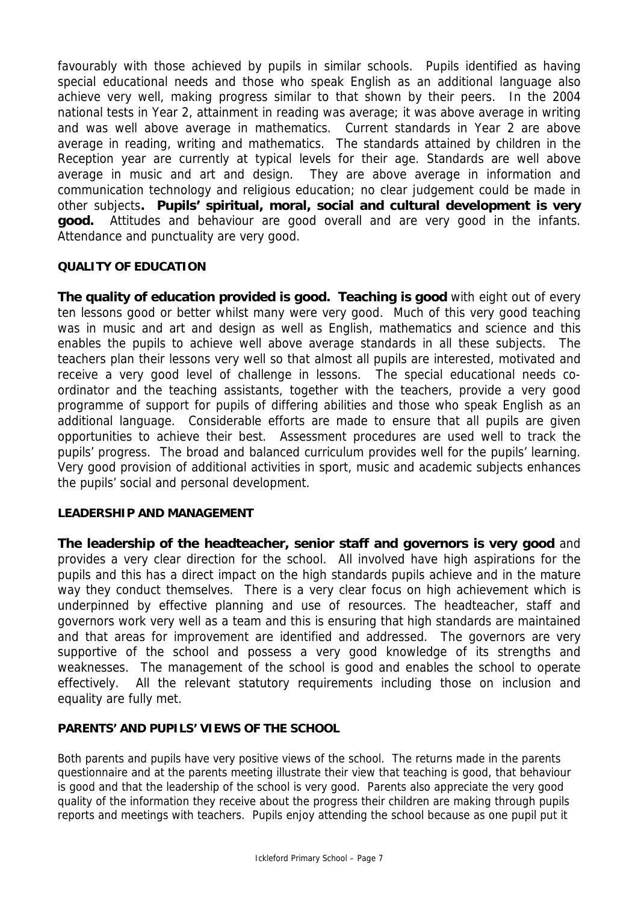favourably with those achieved by pupils in similar schools. Pupils identified as having special educational needs and those who speak English as an additional language also achieve very well, making progress similar to that shown by their peers. In the 2004 national tests in Year 2, attainment in reading was average; it was above average in writing and was well above average in mathematics. Current standards in Year 2 are above average in reading, writing and mathematics. The standards attained by children in the Reception year are currently at typical levels for their age. Standards are well above average in music and art and design. They are above average in information and communication technology and religious education; no clear judgement could be made in other subjects**. Pupils' spiritual, moral, social and cultural development is very good.** Attitudes and behaviour are good overall and are very good in the infants. Attendance and punctuality are very good.

## **QUALITY OF EDUCATION**

**The quality of education provided is good. Teaching is good** with eight out of every ten lessons good or better whilst many were very good. Much of this very good teaching was in music and art and design as well as English, mathematics and science and this enables the pupils to achieve well above average standards in all these subjects. The teachers plan their lessons very well so that almost all pupils are interested, motivated and receive a very good level of challenge in lessons. The special educational needs coordinator and the teaching assistants, together with the teachers, provide a very good programme of support for pupils of differing abilities and those who speak English as an additional language. Considerable efforts are made to ensure that all pupils are given opportunities to achieve their best. Assessment procedures are used well to track the pupils' progress. The broad and balanced curriculum provides well for the pupils' learning. Very good provision of additional activities in sport, music and academic subjects enhances the pupils' social and personal development.

#### **LEADERSHIP AND MANAGEMENT**

**The leadership of the headteacher, senior staff and governors is very good** and provides a very clear direction for the school. All involved have high aspirations for the pupils and this has a direct impact on the high standards pupils achieve and in the mature way they conduct themselves. There is a very clear focus on high achievement which is underpinned by effective planning and use of resources. The headteacher, staff and governors work very well as a team and this is ensuring that high standards are maintained and that areas for improvement are identified and addressed. The governors are very supportive of the school and possess a very good knowledge of its strengths and weaknesses. The management of the school is good and enables the school to operate effectively. All the relevant statutory requirements including those on inclusion and equality are fully met.

## **PARENTS' AND PUPILS' VIEWS OF THE SCHOOL**

Both parents and pupils have very positive views of the school. The returns made in the parents questionnaire and at the parents meeting illustrate their view that teaching is good, that behaviour is good and that the leadership of the school is very good. Parents also appreciate the very good quality of the information they receive about the progress their children are making through pupils reports and meetings with teachers. Pupils enjoy attending the school because as one pupil put it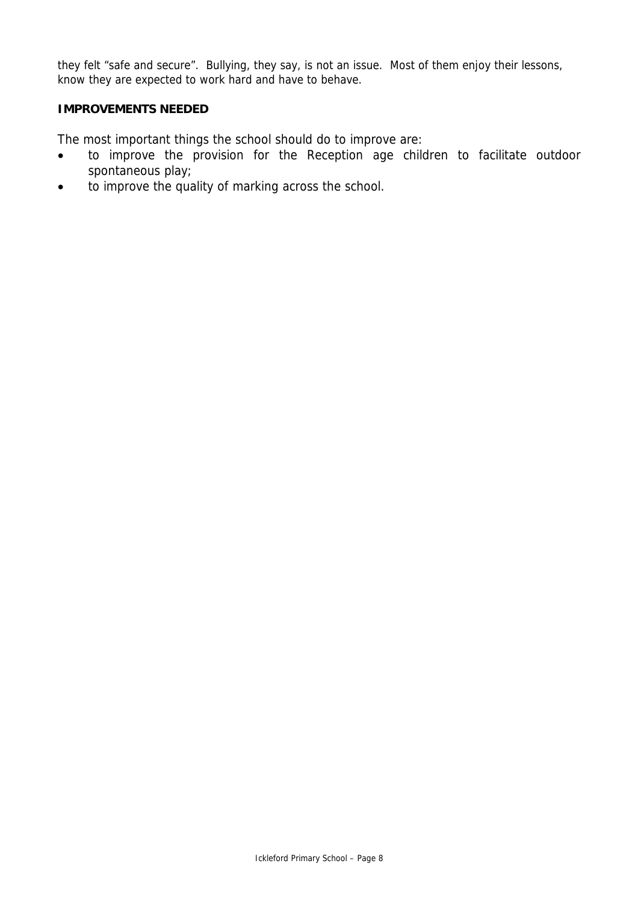they felt "safe and secure". Bullying, they say, is not an issue. Most of them enjoy their lessons, know they are expected to work hard and have to behave.

#### **IMPROVEMENTS NEEDED**

The most important things the school should do to improve are:

- to improve the provision for the Reception age children to facilitate outdoor spontaneous play;
- to improve the quality of marking across the school.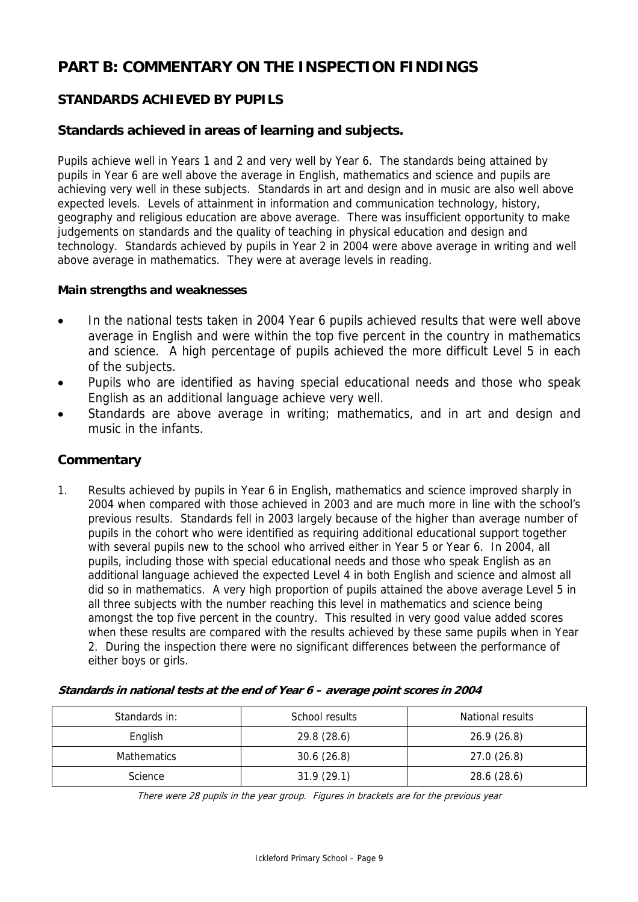# **PART B: COMMENTARY ON THE INSPECTION FINDINGS**

# **STANDARDS ACHIEVED BY PUPILS**

# **Standards achieved in areas of learning and subjects.**

Pupils achieve well in Years 1 and 2 and very well by Year 6. The standards being attained by pupils in Year 6 are well above the average in English, mathematics and science and pupils are achieving very well in these subjects. Standards in art and design and in music are also well above expected levels. Levels of attainment in information and communication technology, history, geography and religious education are above average. There was insufficient opportunity to make judgements on standards and the quality of teaching in physical education and design and technology. Standards achieved by pupils in Year 2 in 2004 were above average in writing and well above average in mathematics. They were at average levels in reading.

#### **Main strengths and weaknesses**

- In the national tests taken in 2004 Year 6 pupils achieved results that were well above average in English and were within the top five percent in the country in mathematics and science. A high percentage of pupils achieved the more difficult Level 5 in each of the subjects.
- Pupils who are identified as having special educational needs and those who speak English as an additional language achieve very well.
- Standards are above average in writing; mathematics, and in art and design and music in the infants.

## **Commentary**

1. Results achieved by pupils in Year 6 in English, mathematics and science improved sharply in 2004 when compared with those achieved in 2003 and are much more in line with the school's previous results. Standards fell in 2003 largely because of the higher than average number of pupils in the cohort who were identified as requiring additional educational support together with several pupils new to the school who arrived either in Year 5 or Year 6. In 2004, all pupils, including those with special educational needs and those who speak English as an additional language achieved the expected Level 4 in both English and science and almost all did so in mathematics. A very high proportion of pupils attained the above average Level 5 in all three subjects with the number reaching this level in mathematics and science being amongst the top five percent in the country. This resulted in very good value added scores when these results are compared with the results achieved by these same pupils when in Year 2. During the inspection there were no significant differences between the performance of either boys or girls.

#### **Standards in national tests at the end of Year 6 – average point scores in 2004**

| Standards in:      | School results | National results |
|--------------------|----------------|------------------|
| English            | 29.8(28.6)     | 26.9(26.8)       |
| <b>Mathematics</b> | 30.6(26.8)     | 27.0(26.8)       |
| Science            | 31.9(29.1)     | 28.6 (28.6)      |

There were 28 pupils in the year group. Figures in brackets are for the previous year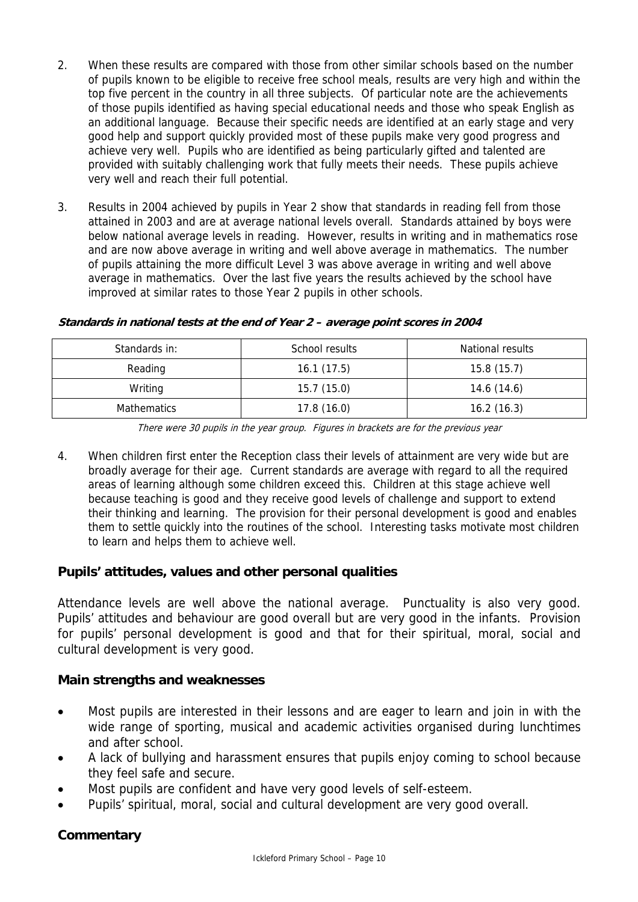- 2. When these results are compared with those from other similar schools based on the number of pupils known to be eligible to receive free school meals, results are very high and within the top five percent in the country in all three subjects. Of particular note are the achievements of those pupils identified as having special educational needs and those who speak English as an additional language. Because their specific needs are identified at an early stage and very good help and support quickly provided most of these pupils make very good progress and achieve very well. Pupils who are identified as being particularly gifted and talented are provided with suitably challenging work that fully meets their needs. These pupils achieve very well and reach their full potential.
- 3. Results in 2004 achieved by pupils in Year 2 show that standards in reading fell from those attained in 2003 and are at average national levels overall. Standards attained by boys were below national average levels in reading. However, results in writing and in mathematics rose and are now above average in writing and well above average in mathematics. The number of pupils attaining the more difficult Level 3 was above average in writing and well above average in mathematics. Over the last five years the results achieved by the school have improved at similar rates to those Year 2 pupils in other schools.

| Standards in: | School results | National results |
|---------------|----------------|------------------|
| Reading       | 16.1(17.5)     | 15.8(15.7)       |
| Writing       | 15.7(15.0)     | 14.6(14.6)       |
| Mathematics   | 17.8(16.0)     | 16.2(16.3)       |

#### **Standards in national tests at the end of Year 2 – average point scores in 2004**

There were 30 pupils in the year group. Figures in brackets are for the previous year

4. When children first enter the Reception class their levels of attainment are very wide but are broadly average for their age. Current standards are average with regard to all the required areas of learning although some children exceed this. Children at this stage achieve well because teaching is good and they receive good levels of challenge and support to extend their thinking and learning. The provision for their personal development is good and enables them to settle quickly into the routines of the school. Interesting tasks motivate most children to learn and helps them to achieve well.

## **Pupils' attitudes, values and other personal qualities**

Attendance levels are well above the national average. Punctuality is also very good. Pupils' attitudes and behaviour are good overall but are very good in the infants. Provision for pupils' personal development is good and that for their spiritual, moral, social and cultural development is very good.

## **Main strengths and weaknesses**

- Most pupils are interested in their lessons and are eager to learn and join in with the wide range of sporting, musical and academic activities organised during lunchtimes and after school.
- A lack of bullying and harassment ensures that pupils enjoy coming to school because they feel safe and secure.
- Most pupils are confident and have very good levels of self-esteem.
- Pupils' spiritual, moral, social and cultural development are very good overall.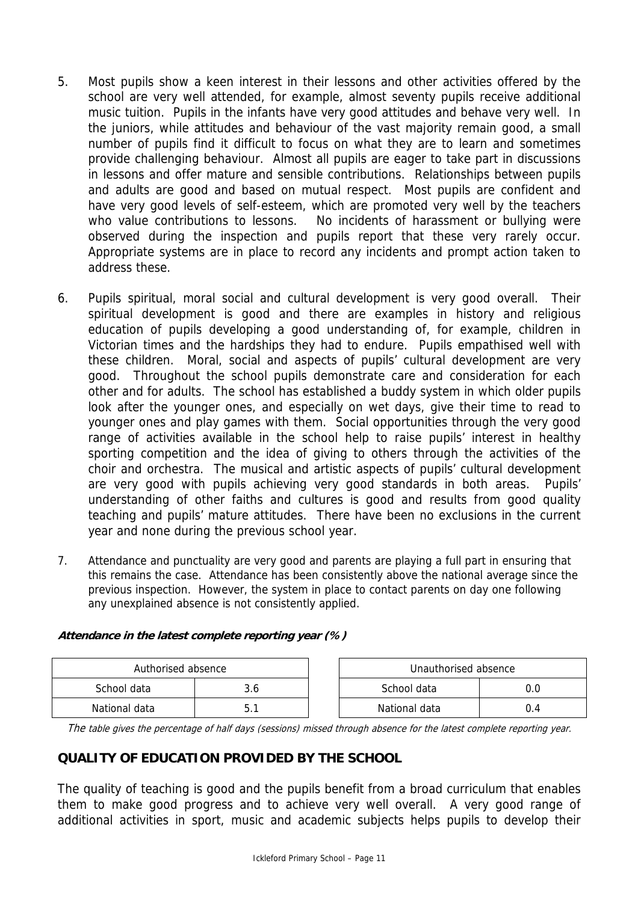- 5. Most pupils show a keen interest in their lessons and other activities offered by the school are very well attended, for example, almost seventy pupils receive additional music tuition. Pupils in the infants have very good attitudes and behave very well. In the juniors, while attitudes and behaviour of the vast majority remain good, a small number of pupils find it difficult to focus on what they are to learn and sometimes provide challenging behaviour. Almost all pupils are eager to take part in discussions in lessons and offer mature and sensible contributions. Relationships between pupils and adults are good and based on mutual respect. Most pupils are confident and have very good levels of self-esteem, which are promoted very well by the teachers who value contributions to lessons. No incidents of harassment or bullying were observed during the inspection and pupils report that these very rarely occur. Appropriate systems are in place to record any incidents and prompt action taken to address these.
- 6. Pupils spiritual, moral social and cultural development is very good overall. Their spiritual development is good and there are examples in history and religious education of pupils developing a good understanding of, for example, children in Victorian times and the hardships they had to endure. Pupils empathised well with these children. Moral, social and aspects of pupils' cultural development are very good. Throughout the school pupils demonstrate care and consideration for each other and for adults. The school has established a buddy system in which older pupils look after the younger ones, and especially on wet days, give their time to read to younger ones and play games with them. Social opportunities through the very good range of activities available in the school help to raise pupils' interest in healthy sporting competition and the idea of giving to others through the activities of the choir and orchestra. The musical and artistic aspects of pupils' cultural development are very good with pupils achieving very good standards in both areas. Pupils' understanding of other faiths and cultures is good and results from good quality teaching and pupils' mature attitudes. There have been no exclusions in the current year and none during the previous school year.
- 7. Attendance and punctuality are very good and parents are playing a full part in ensuring that this remains the case. Attendance has been consistently above the national average since the previous inspection. However, the system in place to contact parents on day one following any unexplained absence is not consistently applied.

| Authorised absence |     | Unauthorised absence |     |
|--------------------|-----|----------------------|-----|
| School data        | 3.6 | School data          |     |
| National data      |     | National data        | 0.4 |

#### **Attendance in the latest complete reporting year (%)**

The table gives the percentage of half days (sessions) missed through absence for the latest complete reporting year.

## **QUALITY OF EDUCATION PROVIDED BY THE SCHOOL**

The quality of teaching is good and the pupils benefit from a broad curriculum that enables them to make good progress and to achieve very well overall. A very good range of additional activities in sport, music and academic subjects helps pupils to develop their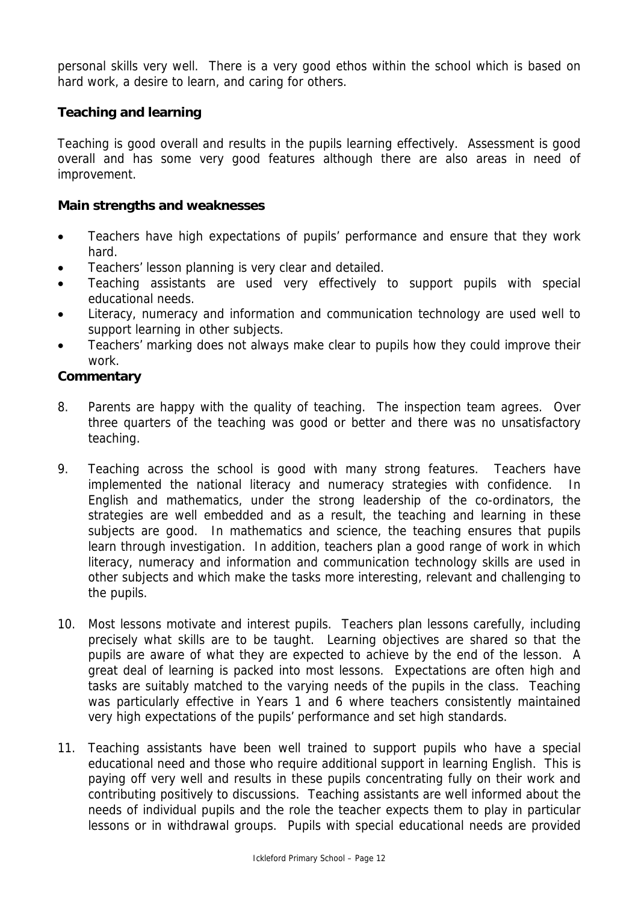personal skills very well. There is a very good ethos within the school which is based on hard work, a desire to learn, and caring for others.

# **Teaching and learning**

Teaching is good overall and results in the pupils learning effectively. Assessment is good overall and has some very good features although there are also areas in need of improvement.

# **Main strengths and weaknesses**

- Teachers have high expectations of pupils' performance and ensure that they work hard.
- Teachers' lesson planning is very clear and detailed.
- Teaching assistants are used very effectively to support pupils with special educational needs.
- Literacy, numeracy and information and communication technology are used well to support learning in other subjects.
- Teachers' marking does not always make clear to pupils how they could improve their work.

- 8. Parents are happy with the quality of teaching. The inspection team agrees. Over three quarters of the teaching was good or better and there was no unsatisfactory teaching.
- 9. Teaching across the school is good with many strong features. Teachers have implemented the national literacy and numeracy strategies with confidence. In English and mathematics, under the strong leadership of the co-ordinators, the strategies are well embedded and as a result, the teaching and learning in these subjects are good. In mathematics and science, the teaching ensures that pupils learn through investigation. In addition, teachers plan a good range of work in which literacy, numeracy and information and communication technology skills are used in other subjects and which make the tasks more interesting, relevant and challenging to the pupils.
- 10. Most lessons motivate and interest pupils. Teachers plan lessons carefully, including precisely what skills are to be taught. Learning objectives are shared so that the pupils are aware of what they are expected to achieve by the end of the lesson. A great deal of learning is packed into most lessons. Expectations are often high and tasks are suitably matched to the varying needs of the pupils in the class. Teaching was particularly effective in Years 1 and 6 where teachers consistently maintained very high expectations of the pupils' performance and set high standards.
- 11. Teaching assistants have been well trained to support pupils who have a special educational need and those who require additional support in learning English. This is paying off very well and results in these pupils concentrating fully on their work and contributing positively to discussions. Teaching assistants are well informed about the needs of individual pupils and the role the teacher expects them to play in particular lessons or in withdrawal groups. Pupils with special educational needs are provided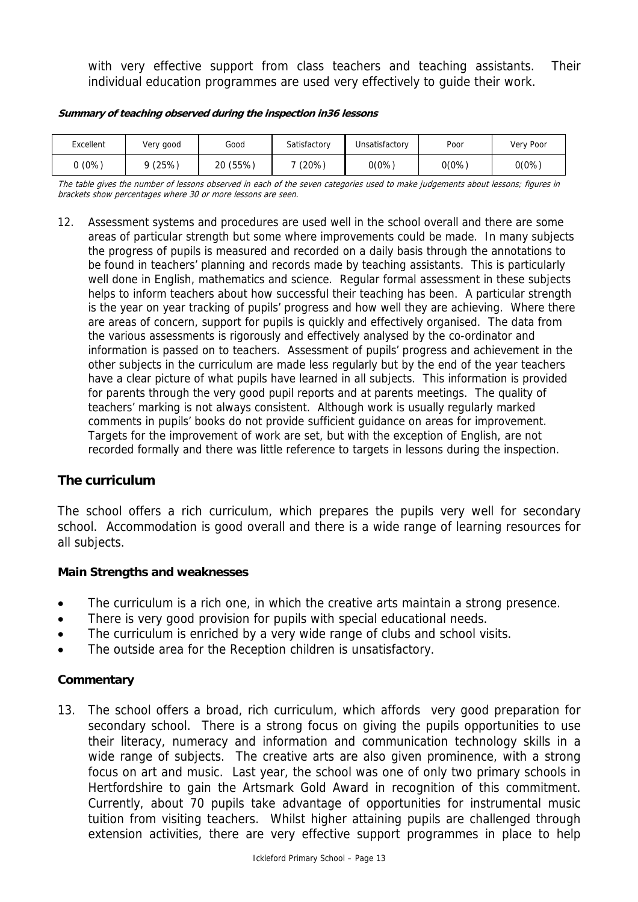with very effective support from class teachers and teaching assistants. Their individual education programmes are used very effectively to guide their work.

| Excellent | Very good | Good     | Satisfactory | Unsatisfactory | Poor  | Very Poor |
|-----------|-----------|----------|--------------|----------------|-------|-----------|
| (0%)      | 9(25%)    | 20 (55%) | $(20\%)$     | $0(0\%)$       | 0(0%) | $0(0\%)$  |

#### **Summary of teaching observed during the inspection in36 lessons**

The table gives the number of lessons observed in each of the seven categories used to make judgements about lessons; figures in brackets show percentages where 30 or more lessons are seen.

12. Assessment systems and procedures are used well in the school overall and there are some areas of particular strength but some where improvements could be made. In many subjects the progress of pupils is measured and recorded on a daily basis through the annotations to be found in teachers' planning and records made by teaching assistants. This is particularly well done in English, mathematics and science. Regular formal assessment in these subjects helps to inform teachers about how successful their teaching has been. A particular strength is the year on year tracking of pupils' progress and how well they are achieving. Where there are areas of concern, support for pupils is quickly and effectively organised. The data from the various assessments is rigorously and effectively analysed by the co-ordinator and information is passed on to teachers. Assessment of pupils' progress and achievement in the other subjects in the curriculum are made less regularly but by the end of the year teachers have a clear picture of what pupils have learned in all subjects. This information is provided for parents through the very good pupil reports and at parents meetings. The quality of teachers' marking is not always consistent. Although work is usually regularly marked comments in pupils' books do not provide sufficient guidance on areas for improvement. Targets for the improvement of work are set, but with the exception of English, are not recorded formally and there was little reference to targets in lessons during the inspection.

## **The curriculum**

The school offers a rich curriculum, which prepares the pupils very well for secondary school. Accommodation is good overall and there is a wide range of learning resources for all subjects.

#### **Main Strengths and weaknesses**

- The curriculum is a rich one, in which the creative arts maintain a strong presence.
- There is very good provision for pupils with special educational needs.
- The curriculum is enriched by a very wide range of clubs and school visits.
- The outside area for the Reception children is unsatisfactory.

#### **Commentary**

13. The school offers a broad, rich curriculum, which affords very good preparation for secondary school. There is a strong focus on giving the pupils opportunities to use their literacy, numeracy and information and communication technology skills in a wide range of subjects. The creative arts are also given prominence, with a strong focus on art and music. Last year, the school was one of only two primary schools in Hertfordshire to gain the Artsmark Gold Award in recognition of this commitment. Currently, about 70 pupils take advantage of opportunities for instrumental music tuition from visiting teachers. Whilst higher attaining pupils are challenged through extension activities, there are very effective support programmes in place to help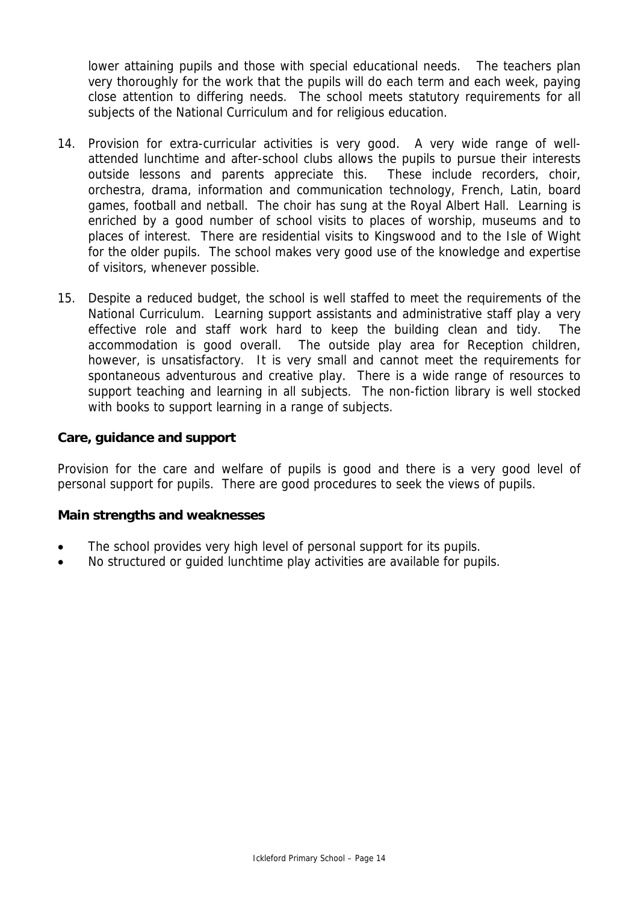lower attaining pupils and those with special educational needs. The teachers plan very thoroughly for the work that the pupils will do each term and each week, paying close attention to differing needs. The school meets statutory requirements for all subjects of the National Curriculum and for religious education.

- 14. Provision for extra-curricular activities is very good. A very wide range of wellattended lunchtime and after-school clubs allows the pupils to pursue their interests outside lessons and parents appreciate this. These include recorders, choir, orchestra, drama, information and communication technology, French, Latin, board games, football and netball. The choir has sung at the Royal Albert Hall. Learning is enriched by a good number of school visits to places of worship, museums and to places of interest. There are residential visits to Kingswood and to the Isle of Wight for the older pupils. The school makes very good use of the knowledge and expertise of visitors, whenever possible.
- 15. Despite a reduced budget, the school is well staffed to meet the requirements of the National Curriculum. Learning support assistants and administrative staff play a very effective role and staff work hard to keep the building clean and tidy. The accommodation is good overall. The outside play area for Reception children, however, is unsatisfactory. It is very small and cannot meet the requirements for spontaneous adventurous and creative play. There is a wide range of resources to support teaching and learning in all subjects. The non-fiction library is well stocked with books to support learning in a range of subjects.

## **Care, guidance and support**

Provision for the care and welfare of pupils is good and there is a very good level of personal support for pupils. There are good procedures to seek the views of pupils.

## **Main strengths and weaknesses**

- The school provides very high level of personal support for its pupils.
- No structured or guided lunchtime play activities are available for pupils.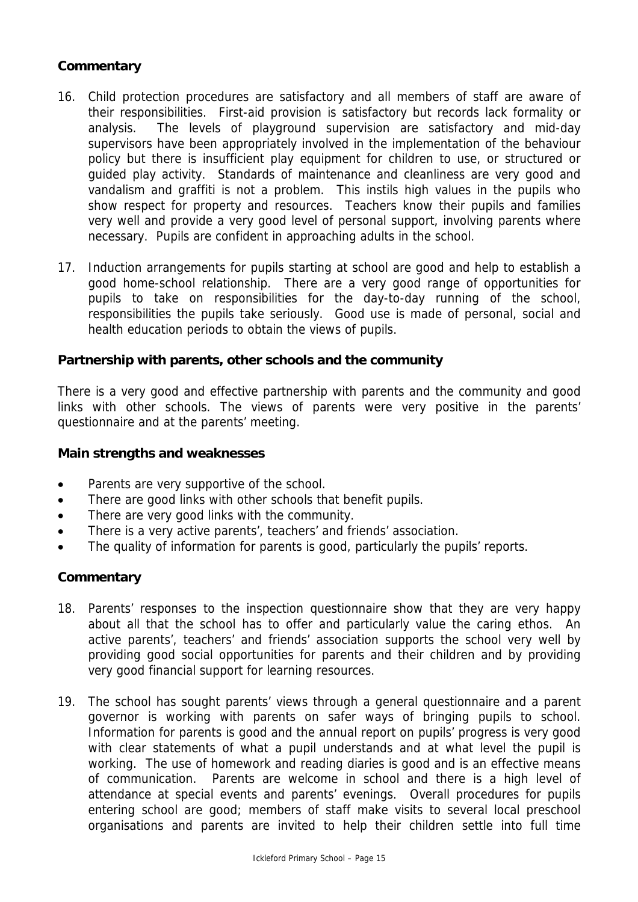# **Commentary**

- 16. Child protection procedures are satisfactory and all members of staff are aware of their responsibilities. First-aid provision is satisfactory but records lack formality or analysis. The levels of playground supervision are satisfactory and mid-day supervisors have been appropriately involved in the implementation of the behaviour policy but there is insufficient play equipment for children to use, or structured or guided play activity. Standards of maintenance and cleanliness are very good and vandalism and graffiti is not a problem. This instils high values in the pupils who show respect for property and resources. Teachers know their pupils and families very well and provide a very good level of personal support, involving parents where necessary. Pupils are confident in approaching adults in the school.
- 17. Induction arrangements for pupils starting at school are good and help to establish a good home-school relationship. There are a very good range of opportunities for pupils to take on responsibilities for the day-to-day running of the school, responsibilities the pupils take seriously. Good use is made of personal, social and health education periods to obtain the views of pupils.

# **Partnership with parents, other schools and the community**

There is a very good and effective partnership with parents and the community and good links with other schools. The views of parents were very positive in the parents' questionnaire and at the parents' meeting.

#### **Main strengths and weaknesses**

- Parents are very supportive of the school.
- There are good links with other schools that benefit pupils.
- There are very good links with the community.
- There is a very active parents', teachers' and friends' association.
- The quality of information for parents is good, particularly the pupils' reports.

- 18. Parents' responses to the inspection questionnaire show that they are very happy about all that the school has to offer and particularly value the caring ethos. An active parents', teachers' and friends' association supports the school very well by providing good social opportunities for parents and their children and by providing very good financial support for learning resources.
- 19. The school has sought parents' views through a general questionnaire and a parent governor is working with parents on safer ways of bringing pupils to school. Information for parents is good and the annual report on pupils' progress is very good with clear statements of what a pupil understands and at what level the pupil is working. The use of homework and reading diaries is good and is an effective means of communication. Parents are welcome in school and there is a high level of attendance at special events and parents' evenings. Overall procedures for pupils entering school are good; members of staff make visits to several local preschool organisations and parents are invited to help their children settle into full time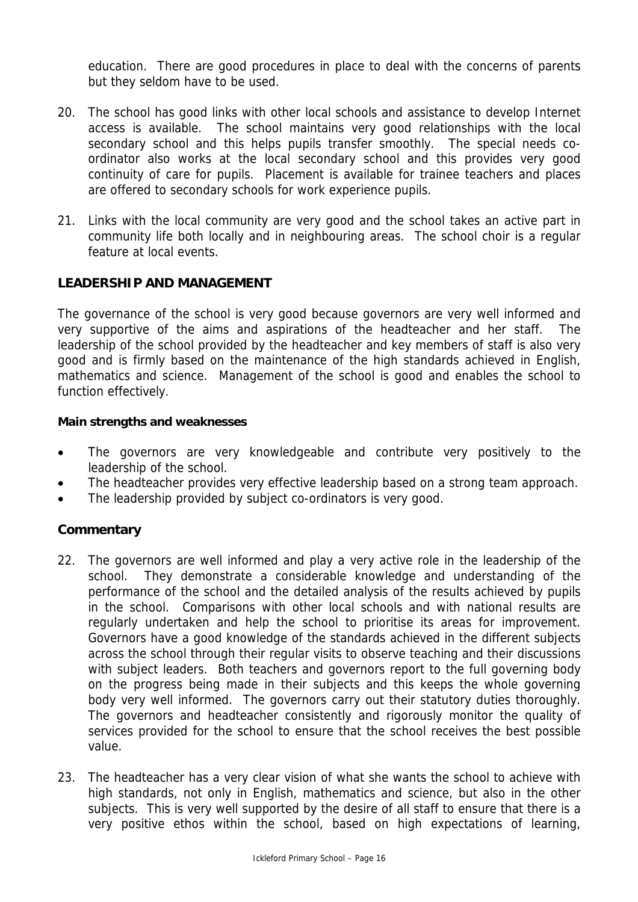education. There are good procedures in place to deal with the concerns of parents but they seldom have to be used.

- 20. The school has good links with other local schools and assistance to develop Internet access is available. The school maintains very good relationships with the local secondary school and this helps pupils transfer smoothly. The special needs coordinator also works at the local secondary school and this provides very good continuity of care for pupils. Placement is available for trainee teachers and places are offered to secondary schools for work experience pupils.
- 21. Links with the local community are very good and the school takes an active part in community life both locally and in neighbouring areas. The school choir is a regular feature at local events.

# **LEADERSHIP AND MANAGEMENT**

The governance of the school is very good because governors are very well informed and very supportive of the aims and aspirations of the headteacher and her staff. The leadership of the school provided by the headteacher and key members of staff is also very good and is firmly based on the maintenance of the high standards achieved in English, mathematics and science. Management of the school is good and enables the school to function effectively.

#### **Main strengths and weaknesses**

- The governors are very knowledgeable and contribute very positively to the leadership of the school.
- The headteacher provides very effective leadership based on a strong team approach.
- The leadership provided by subject co-ordinators is very good.

- 22. The governors are well informed and play a very active role in the leadership of the school. They demonstrate a considerable knowledge and understanding of the performance of the school and the detailed analysis of the results achieved by pupils in the school. Comparisons with other local schools and with national results are regularly undertaken and help the school to prioritise its areas for improvement. Governors have a good knowledge of the standards achieved in the different subjects across the school through their regular visits to observe teaching and their discussions with subject leaders. Both teachers and governors report to the full governing body on the progress being made in their subjects and this keeps the whole governing body very well informed. The governors carry out their statutory duties thoroughly. The governors and headteacher consistently and rigorously monitor the quality of services provided for the school to ensure that the school receives the best possible value.
- 23. The headteacher has a very clear vision of what she wants the school to achieve with high standards, not only in English, mathematics and science, but also in the other subjects. This is very well supported by the desire of all staff to ensure that there is a very positive ethos within the school, based on high expectations of learning,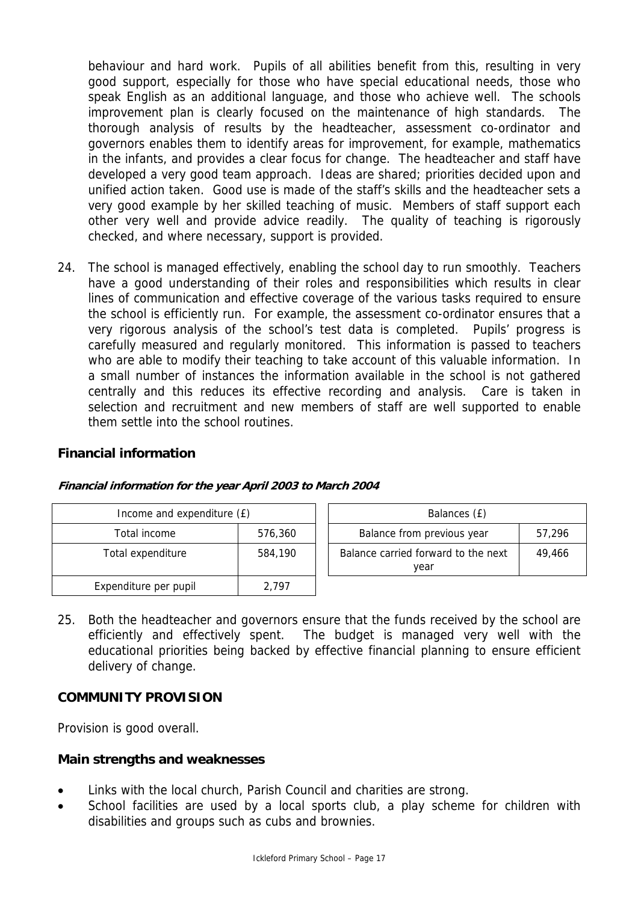behaviour and hard work. Pupils of all abilities benefit from this, resulting in very good support, especially for those who have special educational needs, those who speak English as an additional language, and those who achieve well. The schools improvement plan is clearly focused on the maintenance of high standards. The thorough analysis of results by the headteacher, assessment co-ordinator and governors enables them to identify areas for improvement, for example, mathematics in the infants, and provides a clear focus for change. The headteacher and staff have developed a very good team approach. Ideas are shared; priorities decided upon and unified action taken. Good use is made of the staff's skills and the headteacher sets a very good example by her skilled teaching of music. Members of staff support each other very well and provide advice readily. The quality of teaching is rigorously checked, and where necessary, support is provided.

24. The school is managed effectively, enabling the school day to run smoothly. Teachers have a good understanding of their roles and responsibilities which results in clear lines of communication and effective coverage of the various tasks required to ensure the school is efficiently run. For example, the assessment co-ordinator ensures that a very rigorous analysis of the school's test data is completed. Pupils' progress is carefully measured and regularly monitored. This information is passed to teachers who are able to modify their teaching to take account of this valuable information. In a small number of instances the information available in the school is not gathered centrally and this reduces its effective recording and analysis. Care is taken in selection and recruitment and new members of staff are well supported to enable them settle into the school routines.

## **Financial information**

| Income and expenditure (£) |         | Balances (£)                                          |  |
|----------------------------|---------|-------------------------------------------------------|--|
| Total income               | 576,360 | Balance from previous year<br>57,296                  |  |
| Total expenditure          | 584,190 | Balance carried forward to the next<br>49.466<br>year |  |
| Expenditure per pupil      | 2.797   |                                                       |  |

#### **Financial information for the year April 2003 to March 2004**

25. Both the headteacher and governors ensure that the funds received by the school are efficiently and effectively spent. The budget is managed very well with the educational priorities being backed by effective financial planning to ensure efficient delivery of change.

## **COMMUNITY PROVISION**

Provision is good overall.

## **Main strengths and weaknesses**

- Links with the local church, Parish Council and charities are strong.
- School facilities are used by a local sports club, a play scheme for children with disabilities and groups such as cubs and brownies.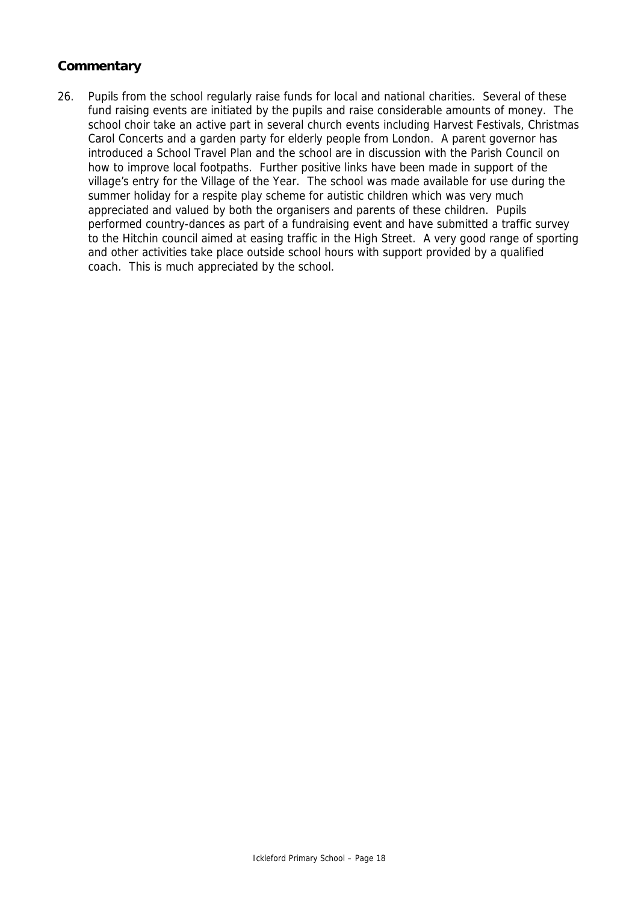# **Commentary**

26. Pupils from the school regularly raise funds for local and national charities. Several of these fund raising events are initiated by the pupils and raise considerable amounts of money. The school choir take an active part in several church events including Harvest Festivals, Christmas Carol Concerts and a garden party for elderly people from London. A parent governor has introduced a School Travel Plan and the school are in discussion with the Parish Council on how to improve local footpaths. Further positive links have been made in support of the village's entry for the Village of the Year. The school was made available for use during the summer holiday for a respite play scheme for autistic children which was very much appreciated and valued by both the organisers and parents of these children. Pupils performed country-dances as part of a fundraising event and have submitted a traffic survey to the Hitchin council aimed at easing traffic in the High Street. A very good range of sporting and other activities take place outside school hours with support provided by a qualified coach. This is much appreciated by the school.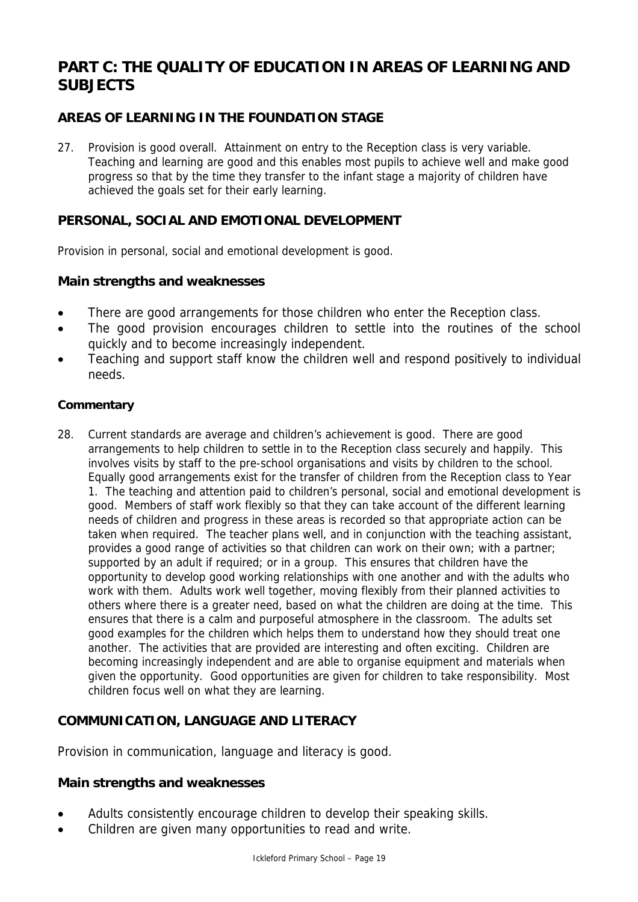# **PART C: THE QUALITY OF EDUCATION IN AREAS OF LEARNING AND SUBJECTS**

# **AREAS OF LEARNING IN THE FOUNDATION STAGE**

27. Provision is good overall. Attainment on entry to the Reception class is very variable. Teaching and learning are good and this enables most pupils to achieve well and make good progress so that by the time they transfer to the infant stage a majority of children have achieved the goals set for their early learning.

#### **PERSONAL, SOCIAL AND EMOTIONAL DEVELOPMENT**

Provision in personal, social and emotional development is good.

#### **Main strengths and weaknesses**

- There are good arrangements for those children who enter the Reception class.
- The good provision encourages children to settle into the routines of the school quickly and to become increasingly independent.
- Teaching and support staff know the children well and respond positively to individual needs.

#### **Commentary**

28. Current standards are average and children's achievement is good. There are good arrangements to help children to settle in to the Reception class securely and happily. This involves visits by staff to the pre-school organisations and visits by children to the school. Equally good arrangements exist for the transfer of children from the Reception class to Year 1. The teaching and attention paid to children's personal, social and emotional development is good. Members of staff work flexibly so that they can take account of the different learning needs of children and progress in these areas is recorded so that appropriate action can be taken when required. The teacher plans well, and in conjunction with the teaching assistant, provides a good range of activities so that children can work on their own; with a partner; supported by an adult if required; or in a group. This ensures that children have the opportunity to develop good working relationships with one another and with the adults who work with them. Adults work well together, moving flexibly from their planned activities to others where there is a greater need, based on what the children are doing at the time. This ensures that there is a calm and purposeful atmosphere in the classroom. The adults set good examples for the children which helps them to understand how they should treat one another. The activities that are provided are interesting and often exciting. Children are becoming increasingly independent and are able to organise equipment and materials when given the opportunity. Good opportunities are given for children to take responsibility. Most children focus well on what they are learning.

## **COMMUNICATION, LANGUAGE AND LITERACY**

Provision in communication, language and literacy is good.

## **Main strengths and weaknesses**

- Adults consistently encourage children to develop their speaking skills.
- Children are given many opportunities to read and write.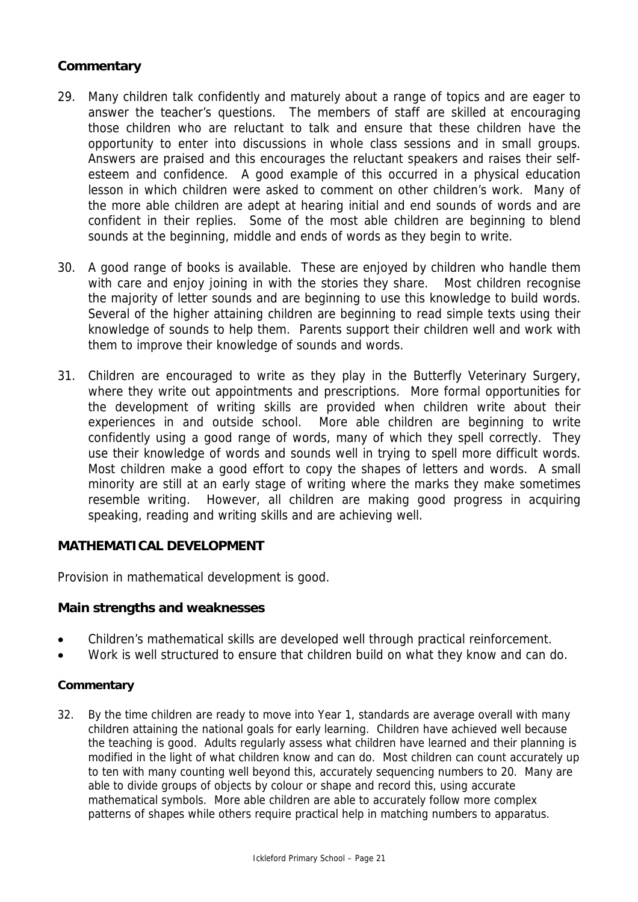# **Commentary**

- 29. Many children talk confidently and maturely about a range of topics and are eager to answer the teacher's questions. The members of staff are skilled at encouraging those children who are reluctant to talk and ensure that these children have the opportunity to enter into discussions in whole class sessions and in small groups. Answers are praised and this encourages the reluctant speakers and raises their selfesteem and confidence. A good example of this occurred in a physical education lesson in which children were asked to comment on other children's work. Many of the more able children are adept at hearing initial and end sounds of words and are confident in their replies. Some of the most able children are beginning to blend sounds at the beginning, middle and ends of words as they begin to write.
- 30. A good range of books is available. These are enjoyed by children who handle them with care and enjoy joining in with the stories they share. Most children recognise the majority of letter sounds and are beginning to use this knowledge to build words. Several of the higher attaining children are beginning to read simple texts using their knowledge of sounds to help them. Parents support their children well and work with them to improve their knowledge of sounds and words.
- 31. Children are encouraged to write as they play in the Butterfly Veterinary Surgery, where they write out appointments and prescriptions. More formal opportunities for the development of writing skills are provided when children write about their experiences in and outside school. More able children are beginning to write confidently using a good range of words, many of which they spell correctly. They use their knowledge of words and sounds well in trying to spell more difficult words. Most children make a good effort to copy the shapes of letters and words. A small minority are still at an early stage of writing where the marks they make sometimes resemble writing. However, all children are making good progress in acquiring speaking, reading and writing skills and are achieving well.

## **MATHEMATICAL DEVELOPMENT**

Provision in mathematical development is good.

#### **Main strengths and weaknesses**

- Children's mathematical skills are developed well through practical reinforcement.
- Work is well structured to ensure that children build on what they know and can do.

#### **Commentary**

32. By the time children are ready to move into Year 1, standards are average overall with many children attaining the national goals for early learning. Children have achieved well because the teaching is good. Adults regularly assess what children have learned and their planning is modified in the light of what children know and can do. Most children can count accurately up to ten with many counting well beyond this, accurately sequencing numbers to 20. Many are able to divide groups of objects by colour or shape and record this, using accurate mathematical symbols. More able children are able to accurately follow more complex patterns of shapes while others require practical help in matching numbers to apparatus.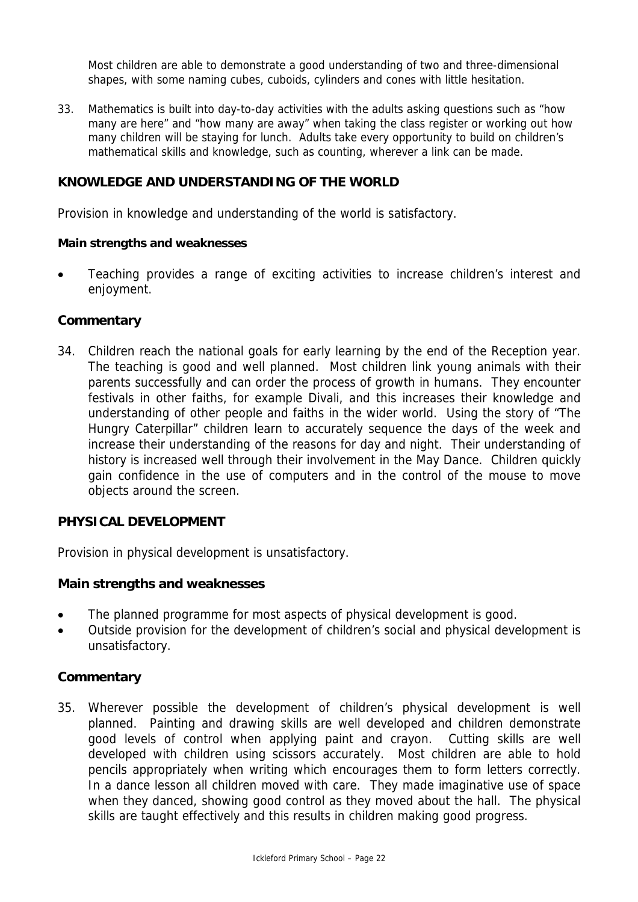Most children are able to demonstrate a good understanding of two and three-dimensional shapes, with some naming cubes, cuboids, cylinders and cones with little hesitation.

33. Mathematics is built into day-to-day activities with the adults asking questions such as "how many are here" and "how many are away" when taking the class register or working out how many children will be staying for lunch. Adults take every opportunity to build on children's mathematical skills and knowledge, such as counting, wherever a link can be made.

#### **KNOWLEDGE AND UNDERSTANDING OF THE WORLD**

Provision in knowledge and understanding of the world is satisfactory.

#### **Main strengths and weaknesses**

• Teaching provides a range of exciting activities to increase children's interest and enjoyment.

#### **Commentary**

34. Children reach the national goals for early learning by the end of the Reception year. The teaching is good and well planned. Most children link young animals with their parents successfully and can order the process of growth in humans. They encounter festivals in other faiths, for example Divali, and this increases their knowledge and understanding of other people and faiths in the wider world. Using the story of "The Hungry Caterpillar" children learn to accurately sequence the days of the week and increase their understanding of the reasons for day and night. Their understanding of history is increased well through their involvement in the May Dance. Children quickly gain confidence in the use of computers and in the control of the mouse to move objects around the screen.

#### **PHYSICAL DEVELOPMENT**

Provision in physical development is unsatisfactory.

#### **Main strengths and weaknesses**

- The planned programme for most aspects of physical development is good.
- Outside provision for the development of children's social and physical development is unsatisfactory.

#### **Commentary**

35. Wherever possible the development of children's physical development is well planned. Painting and drawing skills are well developed and children demonstrate good levels of control when applying paint and crayon. Cutting skills are well developed with children using scissors accurately. Most children are able to hold pencils appropriately when writing which encourages them to form letters correctly. In a dance lesson all children moved with care. They made imaginative use of space when they danced, showing good control as they moved about the hall. The physical skills are taught effectively and this results in children making good progress.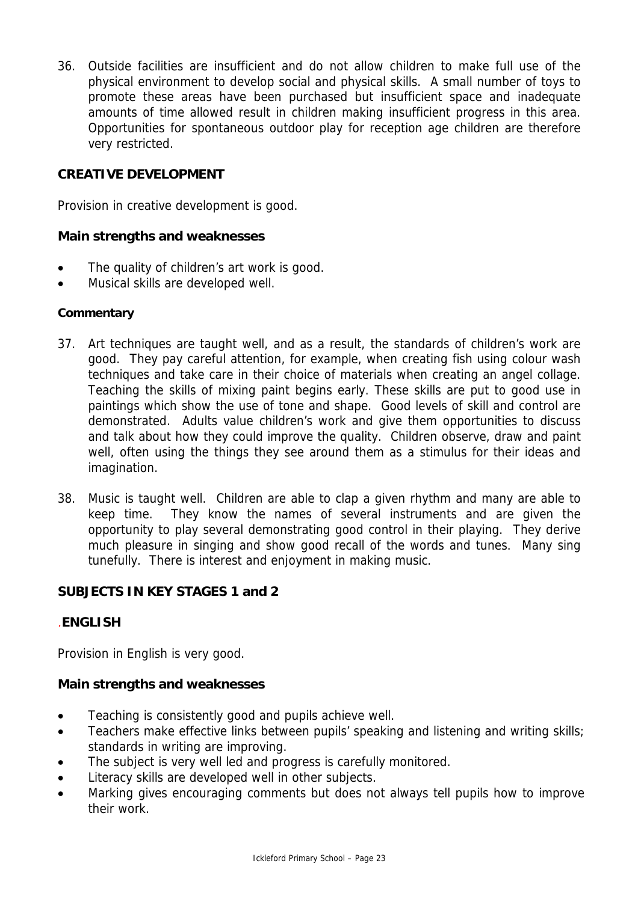36. Outside facilities are insufficient and do not allow children to make full use of the physical environment to develop social and physical skills. A small number of toys to promote these areas have been purchased but insufficient space and inadequate amounts of time allowed result in children making insufficient progress in this area. Opportunities for spontaneous outdoor play for reception age children are therefore very restricted.

# **CREATIVE DEVELOPMENT**

Provision in creative development is good.

## **Main strengths and weaknesses**

- The quality of children's art work is good.
- Musical skills are developed well.

## **Commentary**

- 37. Art techniques are taught well, and as a result, the standards of children's work are good. They pay careful attention, for example, when creating fish using colour wash techniques and take care in their choice of materials when creating an angel collage. Teaching the skills of mixing paint begins early. These skills are put to good use in paintings which show the use of tone and shape. Good levels of skill and control are demonstrated. Adults value children's work and give them opportunities to discuss and talk about how they could improve the quality. Children observe, draw and paint well, often using the things they see around them as a stimulus for their ideas and imagination.
- 38. Music is taught well. Children are able to clap a given rhythm and many are able to keep time. They know the names of several instruments and are given the opportunity to play several demonstrating good control in their playing. They derive much pleasure in singing and show good recall of the words and tunes. Many sing tunefully. There is interest and enjoyment in making music.

## **SUBJECTS IN KEY STAGES 1 and 2**

## .**ENGLISH**

Provision in English is very good.

## **Main strengths and weaknesses**

- Teaching is consistently good and pupils achieve well.
- Teachers make effective links between pupils' speaking and listening and writing skills; standards in writing are improving.
- The subject is very well led and progress is carefully monitored.
- Literacy skills are developed well in other subjects.
- Marking gives encouraging comments but does not always tell pupils how to improve their work.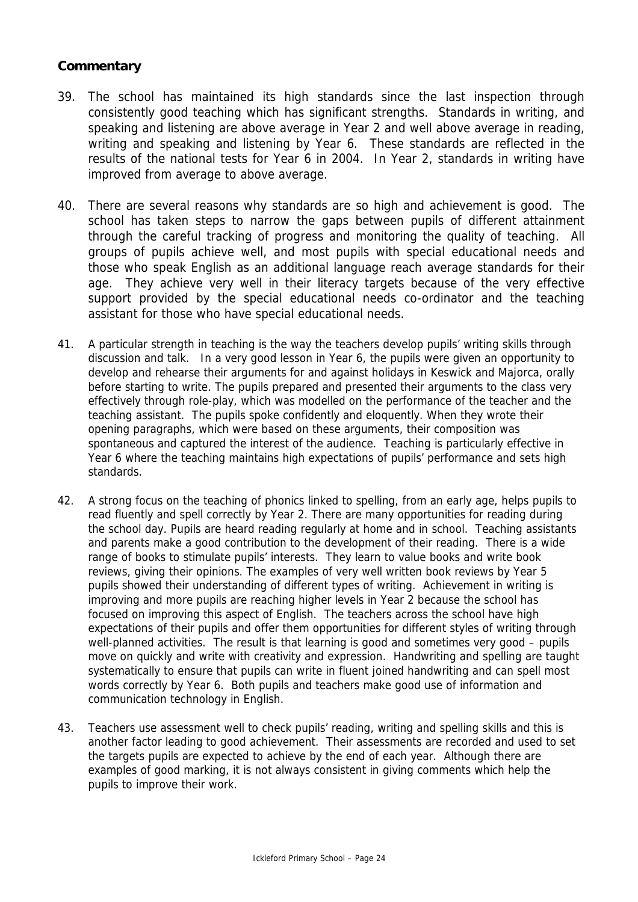- 39. The school has maintained its high standards since the last inspection through consistently good teaching which has significant strengths. Standards in writing, and speaking and listening are above average in Year 2 and well above average in reading, writing and speaking and listening by Year 6. These standards are reflected in the results of the national tests for Year 6 in 2004. In Year 2, standards in writing have improved from average to above average.
- 40. There are several reasons why standards are so high and achievement is good. The school has taken steps to narrow the gaps between pupils of different attainment through the careful tracking of progress and monitoring the quality of teaching. All groups of pupils achieve well, and most pupils with special educational needs and those who speak English as an additional language reach average standards for their age. They achieve very well in their literacy targets because of the very effective support provided by the special educational needs co-ordinator and the teaching assistant for those who have special educational needs.
- 41. A particular strength in teaching is the way the teachers develop pupils' writing skills through discussion and talk. In a very good lesson in Year 6, the pupils were given an opportunity to develop and rehearse their arguments for and against holidays in Keswick and Majorca, orally before starting to write. The pupils prepared and presented their arguments to the class very effectively through role-play, which was modelled on the performance of the teacher and the teaching assistant. The pupils spoke confidently and eloquently. When they wrote their opening paragraphs, which were based on these arguments, their composition was spontaneous and captured the interest of the audience. Teaching is particularly effective in Year 6 where the teaching maintains high expectations of pupils' performance and sets high standards.
- 42. A strong focus on the teaching of phonics linked to spelling, from an early age, helps pupils to read fluently and spell correctly by Year 2. There are many opportunities for reading during the school day. Pupils are heard reading regularly at home and in school. Teaching assistants and parents make a good contribution to the development of their reading. There is a wide range of books to stimulate pupils' interests. They learn to value books and write book reviews, giving their opinions. The examples of very well written book reviews by Year 5 pupils showed their understanding of different types of writing. Achievement in writing is improving and more pupils are reaching higher levels in Year 2 because the school has focused on improving this aspect of English. The teachers across the school have high expectations of their pupils and offer them opportunities for different styles of writing through well-planned activities. The result is that learning is good and sometimes very good – pupils move on quickly and write with creativity and expression. Handwriting and spelling are taught systematically to ensure that pupils can write in fluent joined handwriting and can spell most words correctly by Year 6. Both pupils and teachers make good use of information and communication technology in English.
- 43. Teachers use assessment well to check pupils' reading, writing and spelling skills and this is another factor leading to good achievement. Their assessments are recorded and used to set the targets pupils are expected to achieve by the end of each year. Although there are examples of good marking, it is not always consistent in giving comments which help the pupils to improve their work.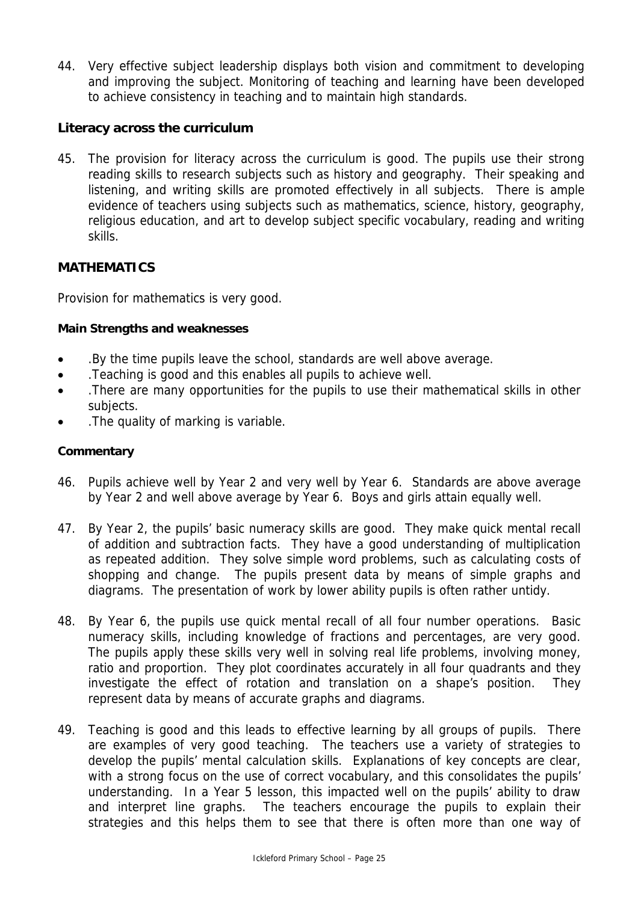44. Very effective subject leadership displays both vision and commitment to developing and improving the subject. Monitoring of teaching and learning have been developed to achieve consistency in teaching and to maintain high standards.

## **Literacy across the curriculum**

45. The provision for literacy across the curriculum is good. The pupils use their strong reading skills to research subjects such as history and geography. Their speaking and listening, and writing skills are promoted effectively in all subjects. There is ample evidence of teachers using subjects such as mathematics, science, history, geography, religious education, and art to develop subject specific vocabulary, reading and writing skills.

# **MATHEMATICS**

Provision for mathematics is very good.

#### **Main Strengths and weaknesses**

- .By the time pupils leave the school, standards are well above average.
- .Teaching is good and this enables all pupils to achieve well.
- .There are many opportunities for the pupils to use their mathematical skills in other subjects.
- .The quality of marking is variable.

- 46. Pupils achieve well by Year 2 and very well by Year 6. Standards are above average by Year 2 and well above average by Year 6. Boys and girls attain equally well.
- 47. By Year 2, the pupils' basic numeracy skills are good. They make quick mental recall of addition and subtraction facts. They have a good understanding of multiplication as repeated addition. They solve simple word problems, such as calculating costs of shopping and change. The pupils present data by means of simple graphs and diagrams. The presentation of work by lower ability pupils is often rather untidy.
- 48. By Year 6, the pupils use quick mental recall of all four number operations. Basic numeracy skills, including knowledge of fractions and percentages, are very good. The pupils apply these skills very well in solving real life problems, involving money, ratio and proportion. They plot coordinates accurately in all four quadrants and they investigate the effect of rotation and translation on a shape's position. They represent data by means of accurate graphs and diagrams.
- 49. Teaching is good and this leads to effective learning by all groups of pupils. There are examples of very good teaching. The teachers use a variety of strategies to develop the pupils' mental calculation skills. Explanations of key concepts are clear, with a strong focus on the use of correct vocabulary, and this consolidates the pupils' understanding. In a Year 5 lesson, this impacted well on the pupils' ability to draw and interpret line graphs. The teachers encourage the pupils to explain their strategies and this helps them to see that there is often more than one way of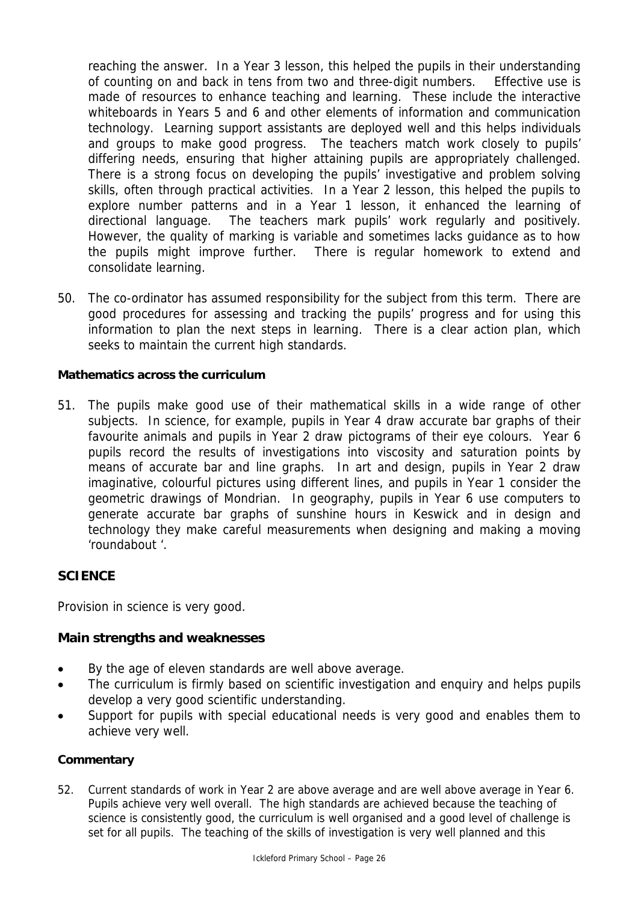reaching the answer. In a Year 3 lesson, this helped the pupils in their understanding of counting on and back in tens from two and three-digit numbers. Effective use is made of resources to enhance teaching and learning. These include the interactive whiteboards in Years 5 and 6 and other elements of information and communication technology. Learning support assistants are deployed well and this helps individuals and groups to make good progress. The teachers match work closely to pupils' differing needs, ensuring that higher attaining pupils are appropriately challenged. There is a strong focus on developing the pupils' investigative and problem solving skills, often through practical activities. In a Year 2 lesson, this helped the pupils to explore number patterns and in a Year 1 lesson, it enhanced the learning of directional language. The teachers mark pupils' work regularly and positively. However, the quality of marking is variable and sometimes lacks guidance as to how the pupils might improve further. There is regular homework to extend and consolidate learning.

50. The co-ordinator has assumed responsibility for the subject from this term. There are good procedures for assessing and tracking the pupils' progress and for using this information to plan the next steps in learning. There is a clear action plan, which seeks to maintain the current high standards.

## **Mathematics across the curriculum**

51. The pupils make good use of their mathematical skills in a wide range of other subjects. In science, for example, pupils in Year 4 draw accurate bar graphs of their favourite animals and pupils in Year 2 draw pictograms of their eye colours. Year 6 pupils record the results of investigations into viscosity and saturation points by means of accurate bar and line graphs. In art and design, pupils in Year 2 draw imaginative, colourful pictures using different lines, and pupils in Year 1 consider the geometric drawings of Mondrian. In geography, pupils in Year 6 use computers to generate accurate bar graphs of sunshine hours in Keswick and in design and technology they make careful measurements when designing and making a moving 'roundabout '.

## **SCIENCE**

Provision in science is very good.

## **Main strengths and weaknesses**

- By the age of eleven standards are well above average.
- The curriculum is firmly based on scientific investigation and enquiry and helps pupils develop a very good scientific understanding.
- Support for pupils with special educational needs is very good and enables them to achieve very well.

#### **Commentary**

52. Current standards of work in Year 2 are above average and are well above average in Year 6. Pupils achieve very well overall. The high standards are achieved because the teaching of science is consistently good, the curriculum is well organised and a good level of challenge is set for all pupils. The teaching of the skills of investigation is very well planned and this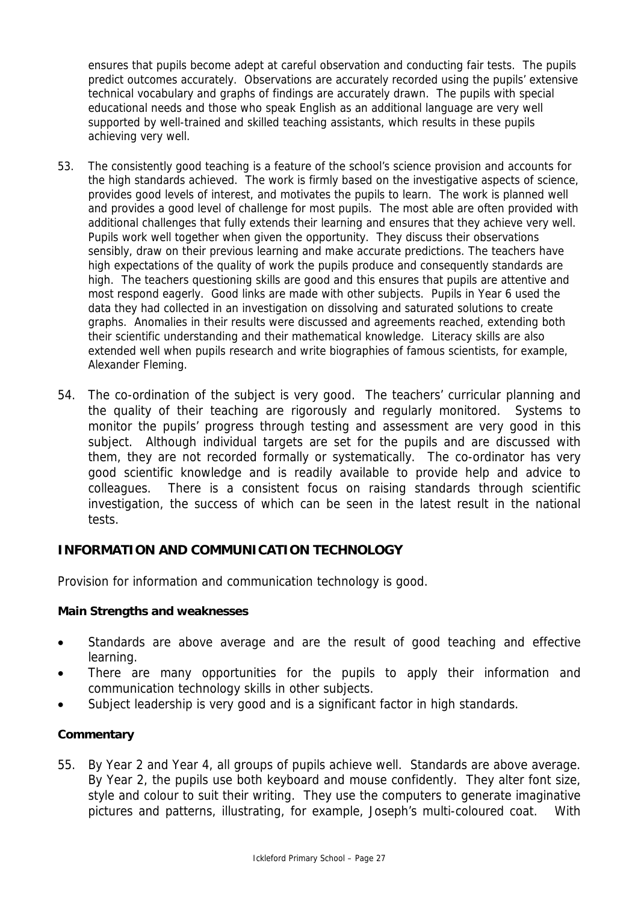ensures that pupils become adept at careful observation and conducting fair tests. The pupils predict outcomes accurately. Observations are accurately recorded using the pupils' extensive technical vocabulary and graphs of findings are accurately drawn. The pupils with special educational needs and those who speak English as an additional language are very well supported by well-trained and skilled teaching assistants, which results in these pupils achieving very well.

- 53. The consistently good teaching is a feature of the school's science provision and accounts for the high standards achieved. The work is firmly based on the investigative aspects of science, provides good levels of interest, and motivates the pupils to learn. The work is planned well and provides a good level of challenge for most pupils. The most able are often provided with additional challenges that fully extends their learning and ensures that they achieve very well. Pupils work well together when given the opportunity. They discuss their observations sensibly, draw on their previous learning and make accurate predictions. The teachers have high expectations of the quality of work the pupils produce and consequently standards are high. The teachers questioning skills are good and this ensures that pupils are attentive and most respond eagerly. Good links are made with other subjects. Pupils in Year 6 used the data they had collected in an investigation on dissolving and saturated solutions to create graphs. Anomalies in their results were discussed and agreements reached, extending both their scientific understanding and their mathematical knowledge. Literacy skills are also extended well when pupils research and write biographies of famous scientists, for example, Alexander Fleming.
- 54. The co-ordination of the subject is very good. The teachers' curricular planning and the quality of their teaching are rigorously and regularly monitored. Systems to monitor the pupils' progress through testing and assessment are very good in this subject. Although individual targets are set for the pupils and are discussed with them, they are not recorded formally or systematically. The co-ordinator has very good scientific knowledge and is readily available to provide help and advice to colleagues. There is a consistent focus on raising standards through scientific investigation, the success of which can be seen in the latest result in the national tests.

## **INFORMATION AND COMMUNICATION TECHNOLOGY**

Provision for information and communication technology is good.

## **Main Strengths and weaknesses**

- Standards are above average and are the result of good teaching and effective learning.
- There are many opportunities for the pupils to apply their information and communication technology skills in other subjects.
- Subject leadership is very good and is a significant factor in high standards.

## **Commentary**

55. By Year 2 and Year 4, all groups of pupils achieve well. Standards are above average. By Year 2, the pupils use both keyboard and mouse confidently. They alter font size, style and colour to suit their writing. They use the computers to generate imaginative pictures and patterns, illustrating, for example, Joseph's multi-coloured coat. With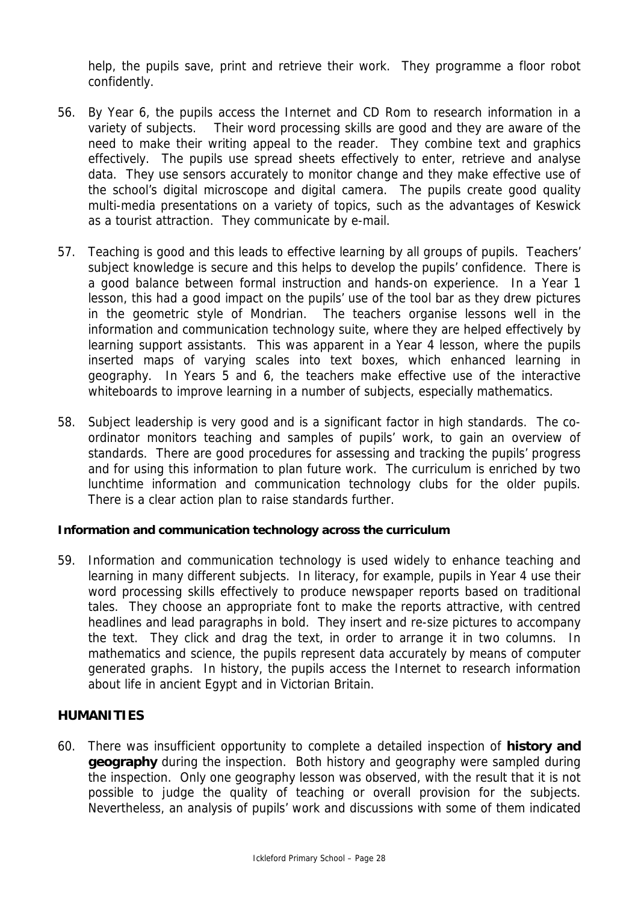help, the pupils save, print and retrieve their work. They programme a floor robot confidently.

- 56. By Year 6, the pupils access the Internet and CD Rom to research information in a variety of subjects. Their word processing skills are good and they are aware of the need to make their writing appeal to the reader. They combine text and graphics effectively. The pupils use spread sheets effectively to enter, retrieve and analyse data. They use sensors accurately to monitor change and they make effective use of the school's digital microscope and digital camera. The pupils create good quality multi-media presentations on a variety of topics, such as the advantages of Keswick as a tourist attraction. They communicate by e-mail.
- 57. Teaching is good and this leads to effective learning by all groups of pupils. Teachers' subject knowledge is secure and this helps to develop the pupils' confidence. There is a good balance between formal instruction and hands-on experience. In a Year 1 lesson, this had a good impact on the pupils' use of the tool bar as they drew pictures in the geometric style of Mondrian. The teachers organise lessons well in the information and communication technology suite, where they are helped effectively by learning support assistants. This was apparent in a Year 4 lesson, where the pupils inserted maps of varying scales into text boxes, which enhanced learning in geography. In Years 5 and 6, the teachers make effective use of the interactive whiteboards to improve learning in a number of subjects, especially mathematics.
- 58. Subject leadership is very good and is a significant factor in high standards. The coordinator monitors teaching and samples of pupils' work, to gain an overview of standards. There are good procedures for assessing and tracking the pupils' progress and for using this information to plan future work. The curriculum is enriched by two lunchtime information and communication technology clubs for the older pupils. There is a clear action plan to raise standards further.

## **Information and communication technology across the curriculum**

59. Information and communication technology is used widely to enhance teaching and learning in many different subjects. In literacy, for example, pupils in Year 4 use their word processing skills effectively to produce newspaper reports based on traditional tales. They choose an appropriate font to make the reports attractive, with centred headlines and lead paragraphs in bold. They insert and re-size pictures to accompany the text. They click and drag the text, in order to arrange it in two columns. In mathematics and science, the pupils represent data accurately by means of computer generated graphs. In history, the pupils access the Internet to research information about life in ancient Egypt and in Victorian Britain.

## **HUMANITIES**

60. There was insufficient opportunity to complete a detailed inspection of **history and geography** during the inspection. Both history and geography were sampled during the inspection. Only one geography lesson was observed, with the result that it is not possible to judge the quality of teaching or overall provision for the subjects. Nevertheless, an analysis of pupils' work and discussions with some of them indicated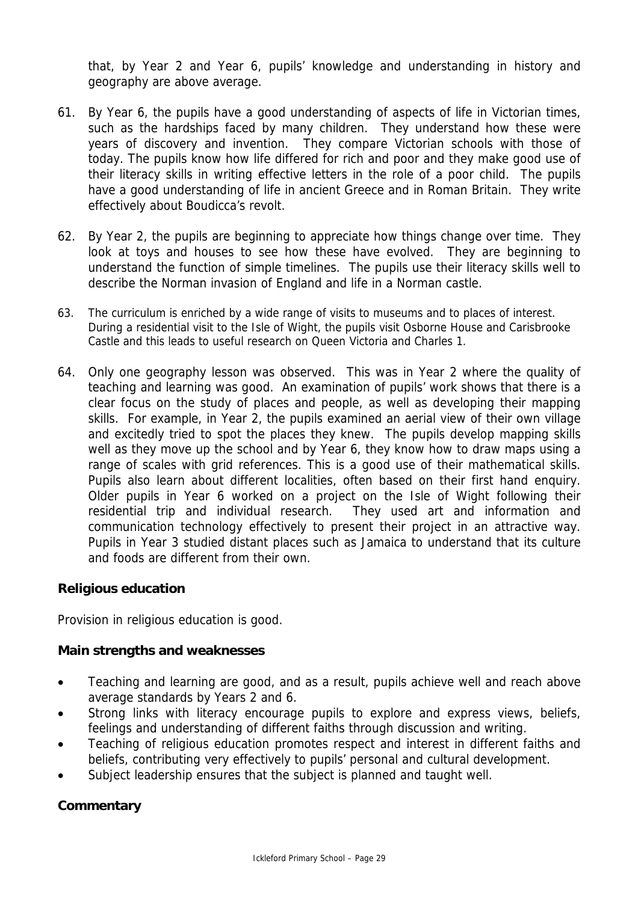that, by Year 2 and Year 6, pupils' knowledge and understanding in history and geography are above average.

- 61. By Year 6, the pupils have a good understanding of aspects of life in Victorian times, such as the hardships faced by many children. They understand how these were years of discovery and invention. They compare Victorian schools with those of today. The pupils know how life differed for rich and poor and they make good use of their literacy skills in writing effective letters in the role of a poor child. The pupils have a good understanding of life in ancient Greece and in Roman Britain. They write effectively about Boudicca's revolt.
- 62. By Year 2, the pupils are beginning to appreciate how things change over time. They look at toys and houses to see how these have evolved. They are beginning to understand the function of simple timelines. The pupils use their literacy skills well to describe the Norman invasion of England and life in a Norman castle.
- 63. The curriculum is enriched by a wide range of visits to museums and to places of interest. During a residential visit to the Isle of Wight, the pupils visit Osborne House and Carisbrooke Castle and this leads to useful research on Queen Victoria and Charles 1.
- 64. Only one geography lesson was observed. This was in Year 2 where the quality of teaching and learning was good. An examination of pupils' work shows that there is a clear focus on the study of places and people, as well as developing their mapping skills. For example, in Year 2, the pupils examined an aerial view of their own village and excitedly tried to spot the places they knew. The pupils develop mapping skills well as they move up the school and by Year 6, they know how to draw maps using a range of scales with grid references. This is a good use of their mathematical skills. Pupils also learn about different localities, often based on their first hand enquiry. Older pupils in Year 6 worked on a project on the Isle of Wight following their residential trip and individual research. They used art and information and communication technology effectively to present their project in an attractive way. Pupils in Year 3 studied distant places such as Jamaica to understand that its culture and foods are different from their own.

## **Religious education**

Provision in religious education is good.

## **Main strengths and weaknesses**

- Teaching and learning are good, and as a result, pupils achieve well and reach above average standards by Years 2 and 6.
- Strong links with literacy encourage pupils to explore and express views, beliefs, feelings and understanding of different faiths through discussion and writing.
- Teaching of religious education promotes respect and interest in different faiths and beliefs, contributing very effectively to pupils' personal and cultural development.
- Subject leadership ensures that the subject is planned and taught well.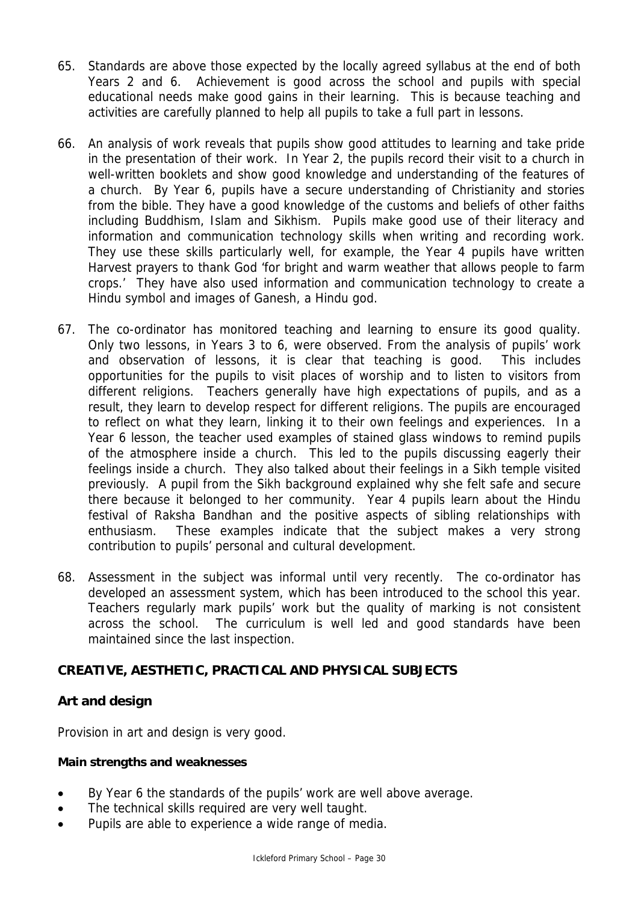- 65. Standards are above those expected by the locally agreed syllabus at the end of both Years 2 and 6. Achievement is good across the school and pupils with special educational needs make good gains in their learning. This is because teaching and activities are carefully planned to help all pupils to take a full part in lessons.
- 66. An analysis of work reveals that pupils show good attitudes to learning and take pride in the presentation of their work. In Year 2, the pupils record their visit to a church in well-written booklets and show good knowledge and understanding of the features of a church. By Year 6, pupils have a secure understanding of Christianity and stories from the bible. They have a good knowledge of the customs and beliefs of other faiths including Buddhism, Islam and Sikhism. Pupils make good use of their literacy and information and communication technology skills when writing and recording work. They use these skills particularly well, for example, the Year 4 pupils have written Harvest prayers to thank God 'for bright and warm weather that allows people to farm crops.' They have also used information and communication technology to create a Hindu symbol and images of Ganesh, a Hindu god.
- 67. The co-ordinator has monitored teaching and learning to ensure its good quality. Only two lessons, in Years 3 to 6, were observed. From the analysis of pupils' work and observation of lessons, it is clear that teaching is good. This includes opportunities for the pupils to visit places of worship and to listen to visitors from different religions. Teachers generally have high expectations of pupils, and as a result, they learn to develop respect for different religions. The pupils are encouraged to reflect on what they learn, linking it to their own feelings and experiences. In a Year 6 lesson, the teacher used examples of stained glass windows to remind pupils of the atmosphere inside a church. This led to the pupils discussing eagerly their feelings inside a church. They also talked about their feelings in a Sikh temple visited previously. A pupil from the Sikh background explained why she felt safe and secure there because it belonged to her community. Year 4 pupils learn about the Hindu festival of Raksha Bandhan and the positive aspects of sibling relationships with enthusiasm. These examples indicate that the subject makes a very strong contribution to pupils' personal and cultural development.
- 68. Assessment in the subject was informal until very recently. The co-ordinator has developed an assessment system, which has been introduced to the school this year. Teachers regularly mark pupils' work but the quality of marking is not consistent across the school. The curriculum is well led and good standards have been maintained since the last inspection.

# **CREATIVE, AESTHETIC, PRACTICAL AND PHYSICAL SUBJECTS**

## **Art and design**

Provision in art and design is very good.

## **Main strengths and weaknesses**

- By Year 6 the standards of the pupils' work are well above average.
- The technical skills required are very well taught.
- Pupils are able to experience a wide range of media.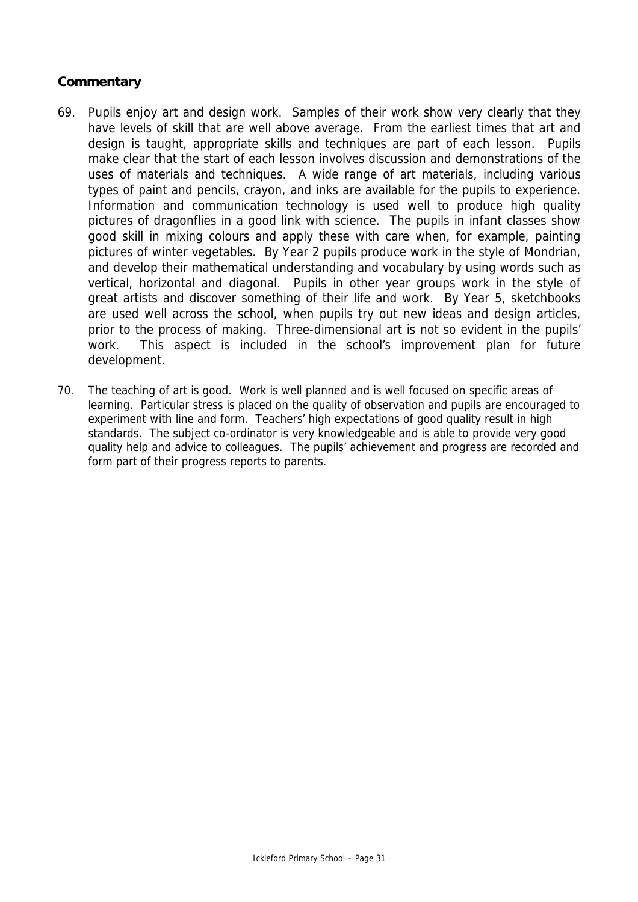- 69. Pupils enjoy art and design work. Samples of their work show very clearly that they have levels of skill that are well above average. From the earliest times that art and design is taught, appropriate skills and techniques are part of each lesson. Pupils make clear that the start of each lesson involves discussion and demonstrations of the uses of materials and techniques. A wide range of art materials, including various types of paint and pencils, crayon, and inks are available for the pupils to experience. Information and communication technology is used well to produce high quality pictures of dragonflies in a good link with science. The pupils in infant classes show good skill in mixing colours and apply these with care when, for example, painting pictures of winter vegetables. By Year 2 pupils produce work in the style of Mondrian, and develop their mathematical understanding and vocabulary by using words such as vertical, horizontal and diagonal. Pupils in other year groups work in the style of great artists and discover something of their life and work. By Year 5, sketchbooks are used well across the school, when pupils try out new ideas and design articles, prior to the process of making. Three-dimensional art is not so evident in the pupils' work. This aspect is included in the school's improvement plan for future development.
- 70. The teaching of art is good. Work is well planned and is well focused on specific areas of learning. Particular stress is placed on the quality of observation and pupils are encouraged to experiment with line and form. Teachers' high expectations of good quality result in high standards. The subject co-ordinator is very knowledgeable and is able to provide very good quality help and advice to colleagues. The pupils' achievement and progress are recorded and form part of their progress reports to parents.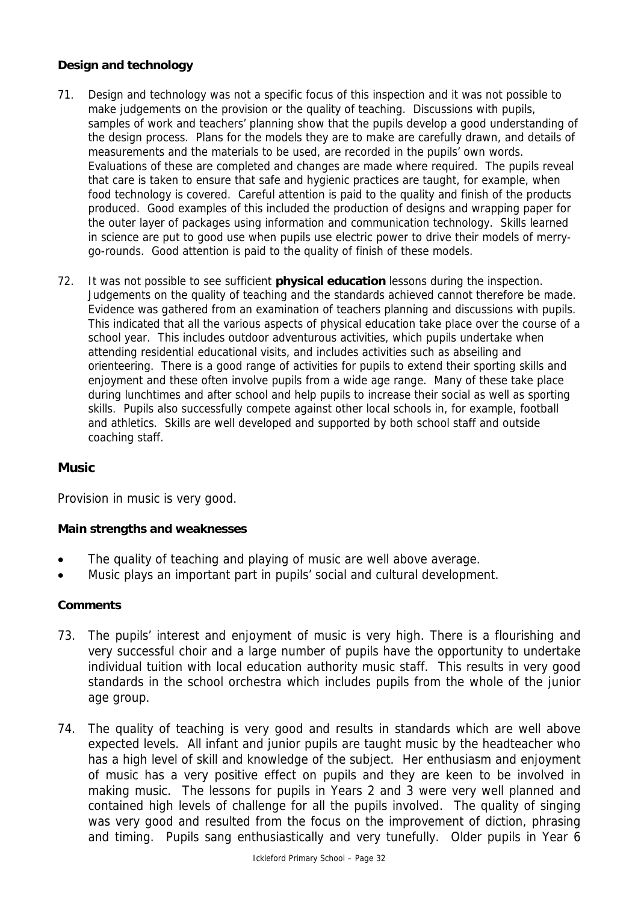## **Design and technology**

- 71. Design and technology was not a specific focus of this inspection and it was not possible to make judgements on the provision or the quality of teaching. Discussions with pupils, samples of work and teachers' planning show that the pupils develop a good understanding of the design process. Plans for the models they are to make are carefully drawn, and details of measurements and the materials to be used, are recorded in the pupils' own words. Evaluations of these are completed and changes are made where required. The pupils reveal that care is taken to ensure that safe and hygienic practices are taught, for example, when food technology is covered. Careful attention is paid to the quality and finish of the products produced. Good examples of this included the production of designs and wrapping paper for the outer layer of packages using information and communication technology. Skills learned in science are put to good use when pupils use electric power to drive their models of merrygo-rounds. Good attention is paid to the quality of finish of these models.
- 72. It was not possible to see sufficient **physical education** lessons during the inspection. Judgements on the quality of teaching and the standards achieved cannot therefore be made. Evidence was gathered from an examination of teachers planning and discussions with pupils. This indicated that all the various aspects of physical education take place over the course of a school year. This includes outdoor adventurous activities, which pupils undertake when attending residential educational visits, and includes activities such as abseiling and orienteering. There is a good range of activities for pupils to extend their sporting skills and enjoyment and these often involve pupils from a wide age range. Many of these take place during lunchtimes and after school and help pupils to increase their social as well as sporting skills. Pupils also successfully compete against other local schools in, for example, football and athletics. Skills are well developed and supported by both school staff and outside coaching staff.

# **Music**

Provision in music is very good.

## **Main strengths and weaknesses**

- The quality of teaching and playing of music are well above average.
- Music plays an important part in pupils' social and cultural development.

## **Comments**

- 73. The pupils' interest and enjoyment of music is very high. There is a flourishing and very successful choir and a large number of pupils have the opportunity to undertake individual tuition with local education authority music staff. This results in very good standards in the school orchestra which includes pupils from the whole of the junior age group.
- 74. The quality of teaching is very good and results in standards which are well above expected levels. All infant and junior pupils are taught music by the headteacher who has a high level of skill and knowledge of the subject. Her enthusiasm and enjoyment of music has a very positive effect on pupils and they are keen to be involved in making music. The lessons for pupils in Years 2 and 3 were very well planned and contained high levels of challenge for all the pupils involved. The quality of singing was very good and resulted from the focus on the improvement of diction, phrasing and timing. Pupils sang enthusiastically and very tunefully. Older pupils in Year 6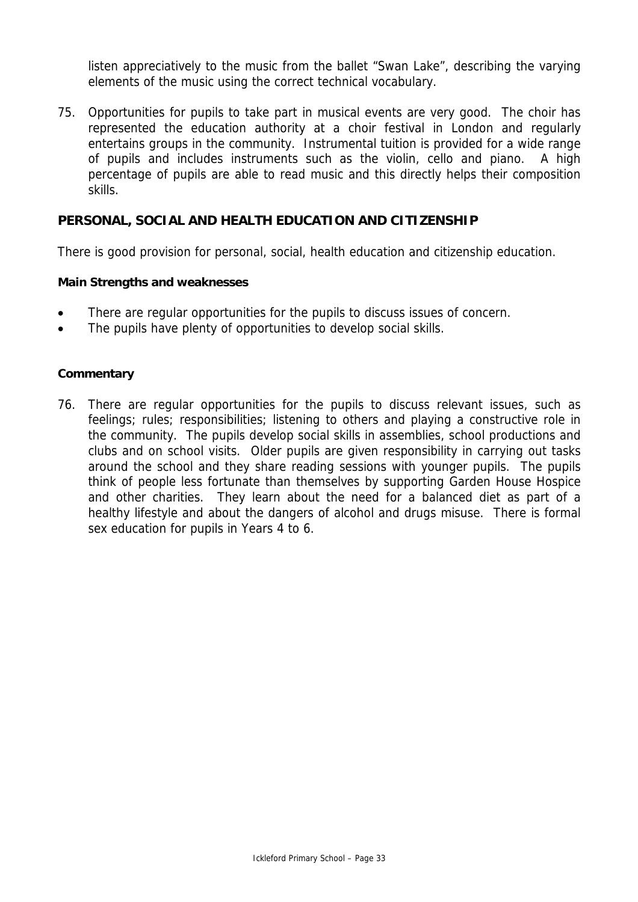listen appreciatively to the music from the ballet "Swan Lake", describing the varying elements of the music using the correct technical vocabulary.

75. Opportunities for pupils to take part in musical events are very good. The choir has represented the education authority at a choir festival in London and regularly entertains groups in the community. Instrumental tuition is provided for a wide range of pupils and includes instruments such as the violin, cello and piano. A high percentage of pupils are able to read music and this directly helps their composition skills.

## **PERSONAL, SOCIAL AND HEALTH EDUCATION AND CITIZENSHIP**

There is good provision for personal, social, health education and citizenship education.

#### **Main Strengths and weaknesses**

- There are regular opportunities for the pupils to discuss issues of concern.
- The pupils have plenty of opportunities to develop social skills.

#### **Commentary**

76. There are regular opportunities for the pupils to discuss relevant issues, such as feelings; rules; responsibilities; listening to others and playing a constructive role in the community. The pupils develop social skills in assemblies, school productions and clubs and on school visits. Older pupils are given responsibility in carrying out tasks around the school and they share reading sessions with younger pupils. The pupils think of people less fortunate than themselves by supporting Garden House Hospice and other charities. They learn about the need for a balanced diet as part of a healthy lifestyle and about the dangers of alcohol and drugs misuse. There is formal sex education for pupils in Years 4 to 6.